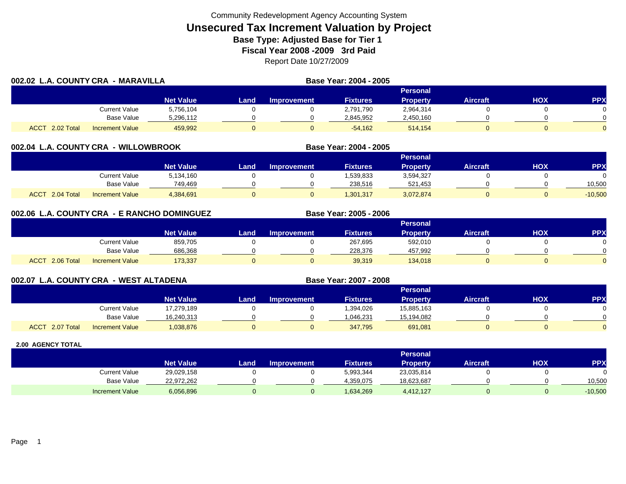|                           | 002.02 L.A. COUNTY CRA<br>- MARAVILLA |                  |      |             | Base Year: 2004 - 2005 |                 |                 |     |            |
|---------------------------|---------------------------------------|------------------|------|-------------|------------------------|-----------------|-----------------|-----|------------|
|                           |                                       |                  |      |             |                        | <b>Personal</b> |                 |     |            |
|                           |                                       | <b>Net Value</b> | Land | Improvement | <b>Fixtures</b>        | <b>Property</b> | <b>Aircraft</b> | HOX | <b>PPX</b> |
|                           | Current Value                         | 5,756,104        |      |             | 2,791,790              | 2,964,314       |                 |     |            |
|                           | <b>Base Value</b>                     | 5,296,112        |      |             | 2,845,952              | 2,450,160       |                 |     |            |
| <b>ACCT</b><br>2.02 Total | <b>Increment Value</b>                | 459.992          |      |             | $-54.162$              | 514.154         |                 |     |            |

### **002.04 L.A. COUNTY CRA - WILLOWBROOK**

|                           |                        |                  |      |                    |                 | Personal  |                 |            |           |
|---------------------------|------------------------|------------------|------|--------------------|-----------------|-----------|-----------------|------------|-----------|
|                           |                        | <b>Net Value</b> | Land | <b>Improvement</b> | <b>Fixtures</b> | Property  | <b>Aircraft</b> | <b>HOX</b> | PPX       |
|                           | Current Value          | 5,134,160        |      |                    | .539,833        | 3,594,327 |                 |            |           |
|                           | <b>Base Value</b>      | 749.469          |      |                    | 238.516         | 521,453   |                 |            | 10,500    |
| <b>ACCT</b><br>2.04 Total | <b>Increment Value</b> | 4,384,691        |      |                    | 1,301,317       | 3,072,874 |                 |            | $-10,500$ |

**Base Year: 2004 - 2005**

**Base Year: 2005 - 2006**

**Base Year: 2007 - 2008**

# **002.06 L.A. COUNTY CRA - E RANCHO DOMINGUEZ**

|                           |                        |                  |      |                    |                 | Personal        |                 |            |          |
|---------------------------|------------------------|------------------|------|--------------------|-----------------|-----------------|-----------------|------------|----------|
|                           |                        | <b>Net Value</b> | Land | <b>Improvement</b> | <b>Fixtures</b> | <b>Property</b> | <b>Aircraft</b> | <b>HOX</b> | PPX      |
|                           | Current Value          | 859,705          |      |                    | 267,695         | 592,010         |                 |            |          |
|                           | <b>Base Value</b>      | 686,368          |      |                    | 228.376         | 457,992         |                 |            | 0        |
| 2.06 Total<br><b>ACCT</b> | <b>Increment Value</b> | 173,337          |      |                    | 39,319          | 134,018         |                 |            | $\Omega$ |

# **002.07 L.A. COUNTY CRA - WEST ALTADENA**

|                           |                        |                  |        |             |                 | <b>Personal</b> |          |            |            |
|---------------------------|------------------------|------------------|--------|-------------|-----------------|-----------------|----------|------------|------------|
|                           |                        | <b>Net Value</b> | Land I | Improvement | <b>Fixtures</b> | <b>Property</b> | Aircraft | <b>HOX</b> | <b>PPX</b> |
|                           | <b>Current Value</b>   | 17,279,189       |        |             | 394,026.        | 15,885,163      |          |            | 0          |
|                           | <b>Base Value</b>      | 16,240,313       |        |             | 1,046,231       | 15,194,082      |          |            | $\Omega$   |
| <b>ACCT</b><br>2.07 Total | <b>Increment Value</b> | 1,038,876        | 0      |             | 347,795         | 691,081         |          |            | $\Omega$   |

|                        |                  |      |                    |                 | <b>Personal</b> |                 |     |           |
|------------------------|------------------|------|--------------------|-----------------|-----------------|-----------------|-----|-----------|
|                        | <b>Net Value</b> | Land | <b>Improvement</b> | <b>Fixtures</b> | <b>Property</b> | <b>Aircraft</b> | нох | PPX       |
| Current Value          | 29,029,158       |      |                    | 5,993,344       | 23,035,814      |                 |     |           |
| <b>Base Value</b>      | 22,972,262       |      |                    | 4,359,075       | 18,623,687      |                 |     | 10,500    |
| <b>Increment Value</b> | 6,056,896        |      |                    | 1,634,269       | 4,412,127       |                 |     | $-10,500$ |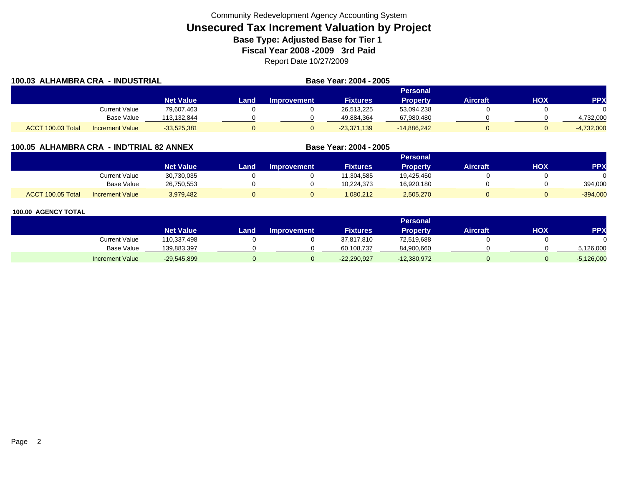| 100.03 ALHAMBRA CRA - INDUSTRIAL |                        |                  |      | Base Year: 2004 - 2005 |                 |                 |          |            |              |
|----------------------------------|------------------------|------------------|------|------------------------|-----------------|-----------------|----------|------------|--------------|
|                                  |                        |                  |      |                        |                 | Personal        |          |            |              |
|                                  |                        | <b>Net Value</b> | Land | Improvement            | <b>Fixtures</b> | <b>Property</b> | Aircraft | <b>HOX</b> | <b>PPX</b>   |
|                                  | Current Value          | 79,607,463       |      |                        | 26,513,225      | 53,094,238      |          |            |              |
|                                  | Base Value             | 113,132,844      |      |                        | 49,884,364      | 67,980,480      |          |            | 4,732,000    |
| ACCT 100.03 Total                | <b>Increment Value</b> | $-33,525,381$    |      |                        | $-23,371,139$   | $-14,886,242$   |          |            | $-4,732,000$ |

# **100.05 ALHAMBRA CRA - IND'TRIAL 82 ANNEX**

|                   |                        |                  |      |                    |                 | Personal        |                 |     |            |
|-------------------|------------------------|------------------|------|--------------------|-----------------|-----------------|-----------------|-----|------------|
|                   |                        | <b>Net Value</b> | Land | <b>Improvement</b> | <b>Fixtures</b> | <b>Property</b> | <b>Aircraft</b> | нох | PPX        |
|                   | <b>Current Value</b>   | 30,730,035       |      |                    | 11,304,585      | 19,425,450      |                 |     |            |
|                   | <b>Base Value</b>      | 26,750,553       |      |                    | 10,224,373      | 16,920,180      |                 |     | 394.000    |
| ACCT 100.05 Total | <b>Increment Value</b> | 3,979,482        |      |                    | 1,080,212       | 2,505,270       |                 |     | $-394,000$ |

**Base Year: 2004 - 2005**

|                        |                  |      |                    |                 | Personal      |                 |            |              |
|------------------------|------------------|------|--------------------|-----------------|---------------|-----------------|------------|--------------|
|                        | <b>Net Value</b> | Land | <b>Improvement</b> | <b>Fixtures</b> | Property      | <b>Aircraft</b> | <b>XOH</b> | <b>PPX</b>   |
| <b>Current Value</b>   | 110,337,498      |      |                    | 37,817,810      | 72,519,688    |                 |            |              |
| <b>Base Value</b>      | 139,883,397      |      |                    | 60,108,737      | 84,900,660    |                 |            | 5,126,000    |
| <b>Increment Value</b> | $-29,545,899$    |      |                    | $-22,290,927$   | $-12,380,972$ |                 |            | $-5,126,000$ |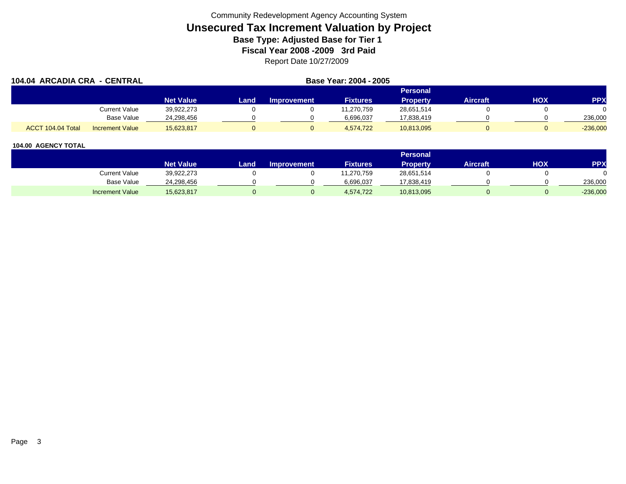| 104.04 ARCADIA CRA - CENTRAL |                        |                  |      | Base Year: 2004 - 2005 |                 |                 |                 |     |            |
|------------------------------|------------------------|------------------|------|------------------------|-----------------|-----------------|-----------------|-----|------------|
|                              |                        |                  |      |                        |                 | Personal        |                 |     |            |
|                              |                        | <b>Net Value</b> | Land | <b>Improvement</b>     | <b>Fixtures</b> | <b>Property</b> | <b>Aircraft</b> | HOX | <b>PPX</b> |
|                              | <b>Current Value</b>   | 39,922,273       |      |                        | 11,270,759      | 28,651,514      |                 |     |            |
|                              | Base Value             | 24.298.456       |      |                        | 6,696,037       | 17,838,419      |                 |     | 236,000    |
| ACCT 104.04 Total            | <b>Increment Value</b> | 15,623,817       |      |                        | 4.574.722       | 10,813,095      |                 |     | $-236,000$ |

|                        |                  |       |                    |                 | <b>Personal</b> |                 |            |            |
|------------------------|------------------|-------|--------------------|-----------------|-----------------|-----------------|------------|------------|
|                        | <b>Net Value</b> | Land. | <b>Improvement</b> | <b>Fixtures</b> | <b>Property</b> | <b>Aircraft</b> | <b>HOX</b> | PPX        |
| <b>Current Value</b>   | 39,922,273       |       |                    | 1,270,759       | 28,651,514      |                 |            |            |
| <b>Base Value</b>      | 24,298,456       |       |                    | 6.696.037       | 17,838,419      |                 |            | 236.000    |
| <b>Increment Value</b> | 15,623,817       |       |                    | 4,574,722       | 10,813,095      |                 |            | $-236,000$ |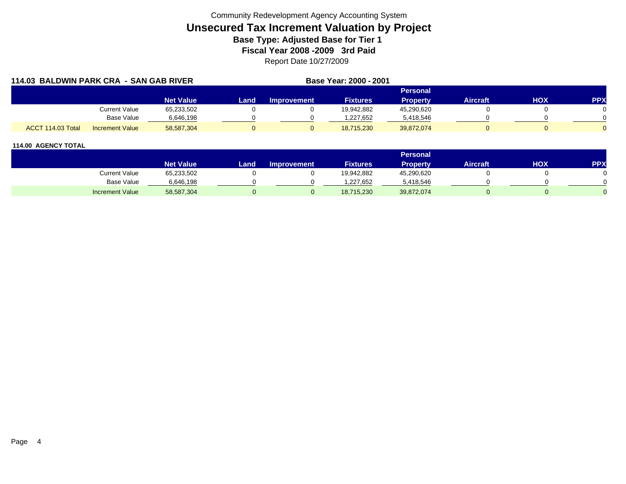| 114.03 BALDWIN PARK CRA - SAN GAB RIVER |                        |                  |      | Base Year: 2000 - 2001 |                 |                 |          |     |            |
|-----------------------------------------|------------------------|------------------|------|------------------------|-----------------|-----------------|----------|-----|------------|
|                                         |                        |                  |      |                        |                 | Personal        |          |     |            |
|                                         |                        | <b>Net Value</b> | Land | <b>Improvement</b>     | <b>Fixtures</b> | <b>Property</b> | Aircraft | HOX | <b>PPX</b> |
|                                         | Current Value          | 65,233,502       |      |                        | 19,942,882      | 45,290,620      |          |     |            |
|                                         | Base Value             | 6,646,198        |      |                        | 1,227,652       | 5,418,546       |          |     |            |
| ACCT 114.03 Total                       | <b>Increment Value</b> | 58,587,304       |      |                        | 18,715,230      | 39,872,074      |          |     |            |

|                        |                  |       |                    |                 | Personal   |                 |     |            |
|------------------------|------------------|-------|--------------------|-----------------|------------|-----------------|-----|------------|
|                        | <b>Net Value</b> | Land, | <b>Improvement</b> | <b>Fixtures</b> | Property   | <b>Aircraft</b> | ΗΟΧ | <b>PPX</b> |
| Current Value          | 65,233,502       |       |                    | 19,942,882      | 45,290,620 |                 |     |            |
| <b>Base Value</b>      | 6,646,198        |       |                    | .227,652        | 5,418,546  |                 |     |            |
| <b>Increment Value</b> | 58,587,304       |       |                    | 18,715,230      | 39,872,074 |                 |     |            |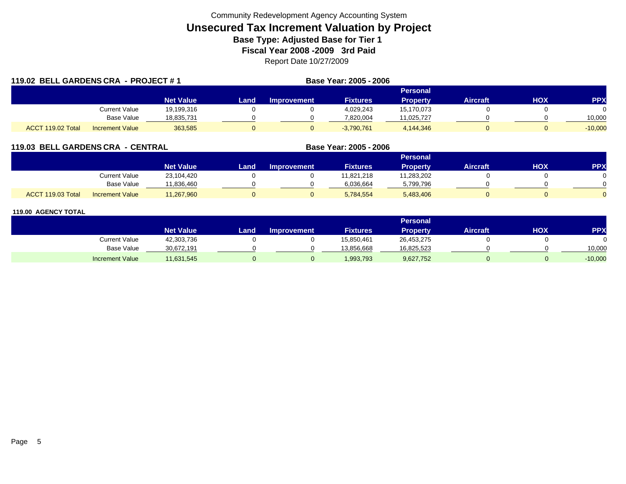| 119.02 BELL GARDENS CRA - PROJECT #1 |                        |                  | Base Year: 2005 - 2006 |                    |                 |                 |          |     |            |  |
|--------------------------------------|------------------------|------------------|------------------------|--------------------|-----------------|-----------------|----------|-----|------------|--|
|                                      |                        |                  |                        |                    |                 | <b>Personal</b> |          |     |            |  |
|                                      |                        | <b>Net Value</b> | Land.                  | <b>Improvement</b> | <b>Fixtures</b> | <b>Property</b> | Aircraft | HOX | <b>PPX</b> |  |
|                                      | Current Value          | 19,199,316       |                        |                    | 4,029,243       | 15,170,073      |          |     |            |  |
|                                      | <b>Base Value</b>      | 18,835,731       |                        |                    | 7,820,004       | 11,025,727      |          |     | 10.000     |  |
| ACCT 119.02 Total                    | <b>Increment Value</b> | 363.585          | $\Omega$               |                    | $-3,790,761$    | 4,144,346       |          |     | $-10,000$  |  |

# **119.03 BELL GARDENS CRA - CENTRAL**

|                                             |                  |      |                    |                 | <b>Personal</b> |                 |     |            |
|---------------------------------------------|------------------|------|--------------------|-----------------|-----------------|-----------------|-----|------------|
|                                             | <b>Net Value</b> | Land | <b>Improvement</b> | <b>Fixtures</b> | <b>Property</b> | <b>Aircraft</b> | нох | <b>PPX</b> |
| <b>Current Value</b>                        | 23,104,420       |      |                    | 11,821,218      | 11,283,202      |                 |     |            |
| <b>Base Value</b>                           | 11,836,460       |      |                    | 6,036,664       | 5,799,796       |                 |     |            |
| ACCT 119.03 Total<br><b>Increment Value</b> | 11,267,960       |      |                    | 5,784,554       | 5,483,406       |                 |     |            |

**Base Year: 2005 - 2006**

|                        |                  |      |                    |                 | Personal        |                 |     |            |
|------------------------|------------------|------|--------------------|-----------------|-----------------|-----------------|-----|------------|
|                        | <b>Net Value</b> | Land | <b>Improvement</b> | <b>Fixtures</b> | <b>Property</b> | <b>Aircraft</b> | нох | <b>PPX</b> |
| Current Value          | 42,303,736       |      |                    | 15,850,461      | 26,453,275      |                 |     |            |
| <b>Base Value</b>      | 30,672,191       |      |                    | 13,856,668      | 16,825,523      |                 |     | 10,000     |
| <b>Increment Value</b> | 11,631,545       |      |                    | 1,993,793       | 9,627,752       |                 |     | $-10,000$  |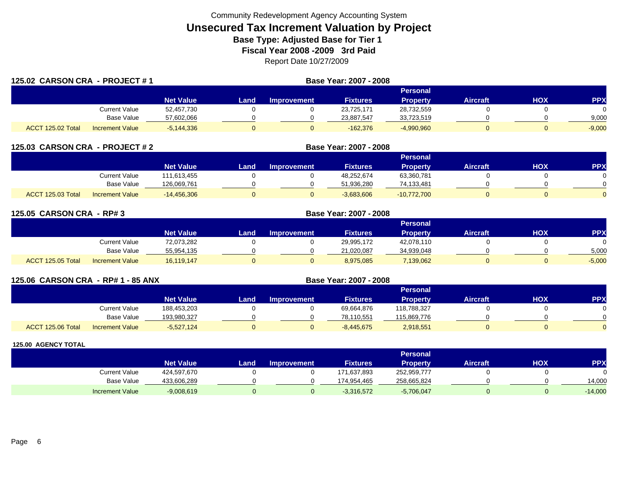| 125.02 CARSON CRA - PROJECT #1 |                        |              | Base Year: 2007 - 2008 |                    |                 |                 |                 |     |            |  |  |
|--------------------------------|------------------------|--------------|------------------------|--------------------|-----------------|-----------------|-----------------|-----|------------|--|--|
|                                |                        |              |                        |                    |                 | Personal        |                 |     |            |  |  |
|                                |                        | Net Value    | Land                   | <b>Improvement</b> | <b>Fixtures</b> | <b>Property</b> | <b>Aircraft</b> | HOX | <b>PPX</b> |  |  |
|                                | <b>Current Value</b>   | 52,457,730   |                        |                    | 23.725.171      | 28,732,559      |                 |     |            |  |  |
|                                | Base Value             | 57,602,066   |                        |                    | 23,887,547      | 33,723,519      |                 |     | 9,000      |  |  |
| ACCT 125.02 Total              | <b>Increment Value</b> | $-5,144,336$ |                        |                    | $-162.376$      | $-4,990,960$    |                 |     | $-9,000$   |  |  |

| 125.03 CARSON CRA - PROJECT #2 |                        |                  |      |                    | Base Year: 2007 - 2008 |                 |                 |     |            |  |  |
|--------------------------------|------------------------|------------------|------|--------------------|------------------------|-----------------|-----------------|-----|------------|--|--|
|                                |                        |                  |      | <b>Personal</b>    |                        |                 |                 |     |            |  |  |
|                                |                        | <b>Net Value</b> | Land | <b>Improvement</b> | <b>Fixtures</b>        | <b>Property</b> | <b>Aircraft</b> | нох | <b>PPX</b> |  |  |
|                                | Current Value          | 111.613.455      |      |                    | 48,252,674             | 63,360,781      |                 |     |            |  |  |
|                                | Base Value             | 126,069,761      |      |                    | 51.936.280             | 74,133,481      |                 |     |            |  |  |
| ACCT 125.03 Total              | <b>Increment Value</b> | $-14.456.306$    |      |                    | $-3,683,606$           | $-10,772,700$   |                 |     |            |  |  |

| 125.05 CARSON CRA - RP# 3 |                        |                  | Base Year: 2007 - 2008 |                    |                 |                 |                 |            |            |  |  |  |
|---------------------------|------------------------|------------------|------------------------|--------------------|-----------------|-----------------|-----------------|------------|------------|--|--|--|
|                           |                        |                  | Personal               |                    |                 |                 |                 |            |            |  |  |  |
|                           |                        | <b>Net Value</b> | Land.                  | <b>Improvement</b> | <b>Fixtures</b> | <b>Property</b> | <b>Aircraft</b> | <b>HOX</b> | <b>PPX</b> |  |  |  |
|                           | <b>Current Value</b>   | 72,073,282       |                        |                    | 29.995.172      | 42,078,110      |                 |            | $\Omega$   |  |  |  |
|                           | Base Value             | 55,954,135       |                        |                    | 21,020,087      | 34,939,048      |                 |            | 5,000      |  |  |  |
| ACCT 125.05 Total         | <b>Increment Value</b> | 16,119,147       | $\Omega$               |                    | 8,975,085       | 7,139,062       |                 |            | $-5,000$   |  |  |  |

|                   | 125.06 CARSON CRA - RP# 1 - 85 ANX |                  |      | Base Year: 2007 - 2008 |                 |                 |                 |     |           |  |  |  |
|-------------------|------------------------------------|------------------|------|------------------------|-----------------|-----------------|-----------------|-----|-----------|--|--|--|
|                   |                                    |                  |      | <b>Personal</b>        |                 |                 |                 |     |           |  |  |  |
|                   |                                    | <b>Net Value</b> | Land | <b>Improvement</b>     | <b>Fixtures</b> | <b>Property</b> | <b>Aircraft</b> | нох | <b>PP</b> |  |  |  |
|                   | <b>Current Value</b>               | 188,453,203      |      |                        | 69,664,876      | 118,788,327     |                 |     |           |  |  |  |
|                   | Base Value                         | 193,980,327      |      |                        | 78,110,551      | 115,869,776     |                 |     |           |  |  |  |
| ACCT 125.06 Total | <b>Increment Value</b>             | $-5,527,124$     | U    |                        | $-8,445,675$    | 2,918,551       |                 |     |           |  |  |  |

|                        |                  |      |                    |                 | <b>Personal</b> |                 |     |           |
|------------------------|------------------|------|--------------------|-----------------|-----------------|-----------------|-----|-----------|
|                        | <b>Net Value</b> | Land | <b>Improvement</b> | <b>Fixtures</b> | Property        | <b>Aircraft</b> | нох | PPX       |
| <b>Current Value</b>   | 424,597,670      |      |                    | 171,637,893     | 252,959,777     |                 |     |           |
| Base Value             | 433,606,289      |      |                    | 174,954,465     | 258,665,824     |                 |     | 14,000    |
| <b>Increment Value</b> | $-9,008,619$     |      |                    | $-3,316,572$    | $-5,706,047$    |                 |     | $-14,000$ |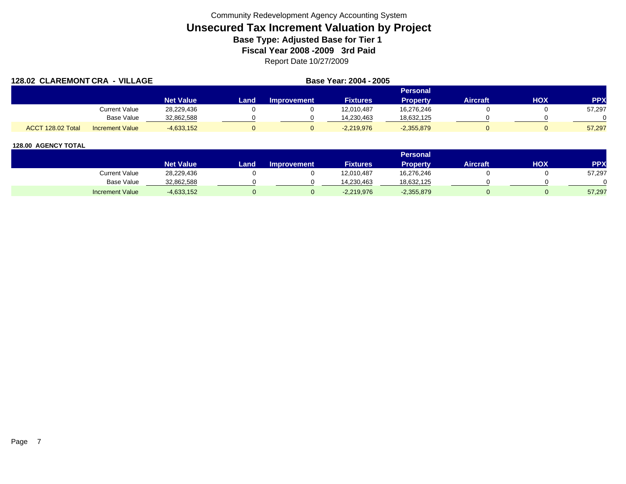| <b>128.02 CLAREMONT CRA</b> | - VILLAGE              |                  |      | Base Year: 2004 - 2005 |                 |                 |                 |     |            |
|-----------------------------|------------------------|------------------|------|------------------------|-----------------|-----------------|-----------------|-----|------------|
|                             |                        |                  |      |                        |                 | <b>Personal</b> |                 |     |            |
|                             |                        | <b>Net Value</b> | Land | <b>Improvement</b>     | <b>Fixtures</b> | <b>Property</b> | <b>Aircraft</b> | HOX | <b>PPX</b> |
|                             | Current Value          | 28,229,436       |      |                        | 12,010,487      | 16,276,246      |                 |     | 57,297     |
|                             | <b>Base Value</b>      | 32,862,588       |      |                        | 14.230.463      | 18,632,125      |                 |     |            |
| ACCT 128.02 Total           | <b>Increment Value</b> | $-4,633,152$     |      |                        | $-2,219,976$    | $-2,355,879$    |                 |     | 57,297     |

|                        |                  |      |                    |                 | <b>Personal</b> |                 |            |        |
|------------------------|------------------|------|--------------------|-----------------|-----------------|-----------------|------------|--------|
|                        | <b>Net Value</b> | Land | <b>Improvement</b> | <b>Fixtures</b> | <b>Property</b> | <b>Aircraft</b> | <b>HOX</b> | PPX    |
| Current Value          | 28,229,436       |      |                    | 12,010,487      | 16,276,246      |                 |            | 57,297 |
| Base Value             | 32,862,588       |      |                    | 14.230.463      | 18,632,125      |                 |            |        |
| <b>Increment Value</b> | $-4,633,152$     |      |                    | $-2,219,976$    | $-2,355,879$    |                 |            | 57,297 |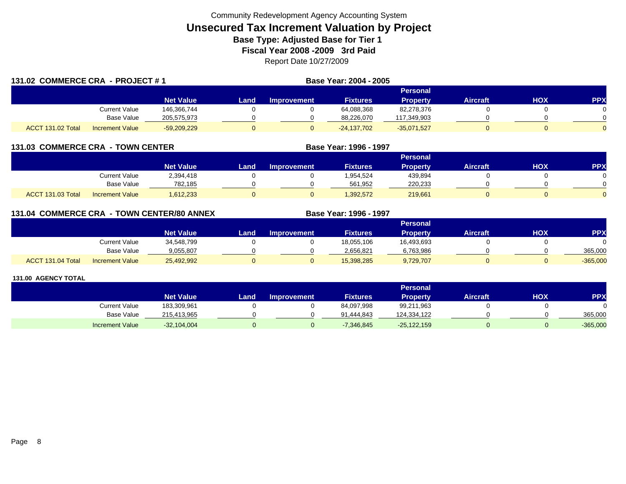| 131.02 COMMERCE CRA - PROJECT #1 |                        |                  |      |             | Base Year: 2004 - 2005 |                 |                 |     |            |
|----------------------------------|------------------------|------------------|------|-------------|------------------------|-----------------|-----------------|-----|------------|
|                                  |                        |                  |      |             |                        | <b>Personal</b> |                 |     |            |
|                                  |                        | <b>Net Value</b> | Land | Improvement | <b>Fixtures</b>        | <b>Property</b> | <b>Aircraft</b> | HOX | <b>PPX</b> |
|                                  | Current Value          | 146.366.744      |      |             | 64,088,368             | 82,278,376      |                 |     |            |
|                                  | Base Value             | 205,575,973      |      |             | 88,226,070             | 117,349,903     |                 |     |            |
| ACCT 131.02 Total                | <b>Increment Value</b> | $-59,209,229$    |      |             | $-24,137,702$          | $-35,071,527$   |                 |     |            |

# **131.03 COMMERCE CRA - TOWN CENTER**

|                                             |                                   | <b>Personal</b> |                    |                 |                 |          |            |     |  |  |  |  |
|---------------------------------------------|-----------------------------------|-----------------|--------------------|-----------------|-----------------|----------|------------|-----|--|--|--|--|
|                                             | <b>Net Value</b>                  | Land            | <b>Improvement</b> | <b>Fixtures</b> | <b>Property</b> | Aircraft | <b>XOH</b> | PPX |  |  |  |  |
|                                             | <b>Current Value</b><br>2,394,418 |                 |                    | 1,954,524       | 439,894         |          |            |     |  |  |  |  |
|                                             | <b>Base Value</b>                 | 782.185         |                    | 561.952         | 220.233         |          |            |     |  |  |  |  |
| ACCT 131.03 Total<br><b>Increment Value</b> | 1,612,233                         |                 |                    | 1,392,572       | 219,661         |          |            |     |  |  |  |  |

**Base Year: 1996 - 1997**

**Base Year: 1996 - 1997**

# **131.04 COMMERCE CRA - TOWN CENTER/80 ANNEX**

|                                             |                  |      |                    |                 | Personal        |          |     |            |
|---------------------------------------------|------------------|------|--------------------|-----------------|-----------------|----------|-----|------------|
|                                             | <b>Net Value</b> | Land | <b>Improvement</b> | <b>Fixtures</b> | <b>Property</b> | Aircraft | HOX | <b>PPY</b> |
| Current Value                               | 34,548,799       |      |                    | 18,055,106      | 16,493,693      |          |     |            |
| <b>Base Value</b>                           | 9.055.807        |      |                    | 2.656.821       | 6,763,986       |          |     | 365,000    |
| ACCT 131.04 Total<br><b>Increment Value</b> | 25,492,992       |      |                    | 15,398,285      | 9,729,707       |          |     | $-365,000$ |

|                        |                  |      |                    |                 | Personal      |                 |            |            |
|------------------------|------------------|------|--------------------|-----------------|---------------|-----------------|------------|------------|
|                        | <b>Net Value</b> | Land | <b>Improvement</b> | <b>Fixtures</b> | Property      | <b>Aircraft</b> | <b>HOX</b> | PPX        |
| <b>Current Value</b>   | 183,309,961      |      |                    | 84,097,998      | 99,211,963    |                 |            |            |
| Base Value             | 215,413,965      |      |                    | 91.444.843      | 124,334,122   |                 |            | 365,000    |
| <b>Increment Value</b> | $-32,104,004$    |      |                    | $-7,346,845$    | $-25,122,159$ |                 |            | $-365,000$ |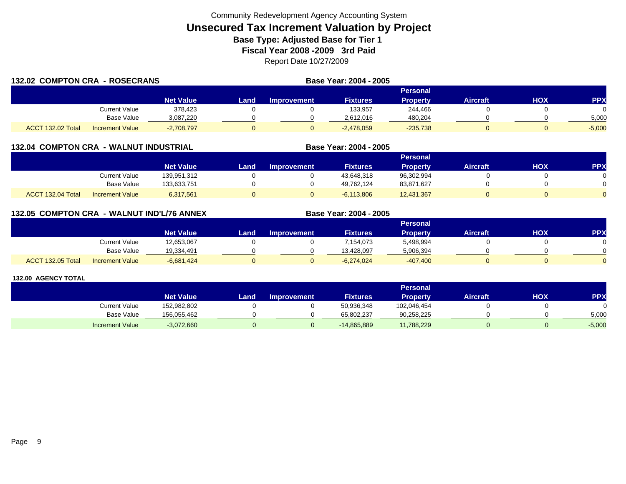| 132.02 COMPTON CRA - ROSECRANS |                        |                  |      |                    | Base Year: 2004 - 2005 |                 |                 |     |            |
|--------------------------------|------------------------|------------------|------|--------------------|------------------------|-----------------|-----------------|-----|------------|
|                                |                        |                  |      |                    |                        | Personal        |                 |     |            |
|                                |                        | <b>Net Value</b> | Land | <b>Improvement</b> | <b>Fixtures</b>        | <b>Property</b> | <b>Aircraft</b> | нох | <b>PPX</b> |
|                                | Current Value          | 378.423          |      |                    | 133.957                | 244,466         |                 |     |            |
|                                | <b>Base Value</b>      | 3.087.220        |      |                    | 2.612.016              | 480,204         |                 |     | 5,000      |
| ACCT 132.02 Total              | <b>Increment Value</b> | $-2,708,797$     |      |                    | $-2,478,059$           | $-235,738$      |                 |     | $-5.000$   |

### **132.04 COMPTON CRA - WALNUT INDUSTRIAL**

|                   |                        |                  |      |                    |                 | Personal        |                 |     |            |
|-------------------|------------------------|------------------|------|--------------------|-----------------|-----------------|-----------------|-----|------------|
|                   |                        | <b>Net Value</b> | Land | <b>Improvement</b> | <b>Fixtures</b> | <b>Property</b> | <b>Aircraft</b> | нох | <b>PPX</b> |
|                   | Current Value          | 139,951,312      |      |                    | 43,648,318      | 96,302,994      |                 |     |            |
|                   | <b>Base Value</b>      | 133,633,751      |      |                    | 49.762.124      | 83,871,627      |                 |     |            |
| ACCT 132.04 Total | <b>Increment Value</b> | 6,317,561        |      |                    | $-6,113,806$    | 12,431,367      |                 |     |            |

**Base Year: 2004 - 2005**

**Base Year: 2004 - 2005**

# **132.05 COMPTON CRA - WALNUT IND'L/76 ANNEX**

|                          |                        |                  |      |                    |                 | <b>Personal</b> |                 |            |              |
|--------------------------|------------------------|------------------|------|--------------------|-----------------|-----------------|-----------------|------------|--------------|
|                          |                        | <b>Net Value</b> | Land | <b>Improvement</b> | <b>Fixtures</b> | <b>Property</b> | <b>Aircraft</b> | <b>XOH</b> | PPX          |
|                          | Current Value          | 12,653,067       |      |                    | 154,073,        | 5,498,994       |                 |            |              |
|                          | <b>Base Value</b>      | 19,334,491       |      |                    | 13.428.097      | 5,906,394       |                 |            | <sup>n</sup> |
| <b>ACCT 132.05 Total</b> | <b>Increment Value</b> | $-6,681,424$     |      |                    | $-6,274,024$    | $-407,400$      |                 |            | $\Omega$     |

|                        |                  |       |                    |                 | <b>Personal</b> |                 |            |            |
|------------------------|------------------|-------|--------------------|-----------------|-----------------|-----------------|------------|------------|
|                        | <b>Net Value</b> | Land, | <b>Improvement</b> | <b>Fixtures</b> | Property        | <b>Aircraft</b> | <b>HOX</b> | <b>PPX</b> |
| <b>Current Value</b>   | 152,982,802      |       |                    | 50,936,348      | 102,046,454     |                 |            |            |
| <b>Base Value</b>      | 156,055,462      |       |                    | 65,802,237      | 90,258,225      |                 |            | 5,000      |
| <b>Increment Value</b> | $-3,072,660$     |       |                    | $-14,865,889$   | 11,788,229      |                 |            | $-5,000$   |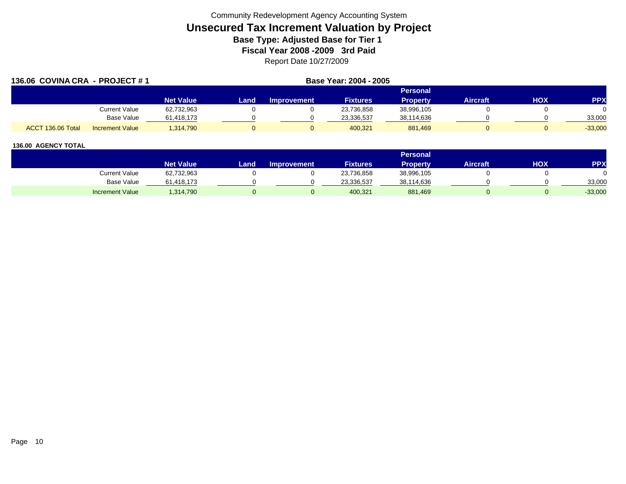| 136.06 COVINA CRA - PROJECT #1 |                        |                  | Base Year: 2004 - 2005 |                    |                 |                 |                 |     |            |
|--------------------------------|------------------------|------------------|------------------------|--------------------|-----------------|-----------------|-----------------|-----|------------|
|                                |                        |                  |                        |                    |                 | Personal        |                 |     |            |
|                                |                        | <b>Net Value</b> | Land                   | <b>Improvement</b> | <b>Fixtures</b> | <b>Property</b> | <b>Aircraft</b> | HOX | <b>PPX</b> |
|                                | <b>Current Value</b>   | 62,732,963       |                        |                    | 23,736,858      | 38,996,105      |                 |     |            |
|                                | <b>Base Value</b>      | 61,418,173       |                        |                    | 23,336,537      | 38,114,636      |                 |     | 33,000     |
| ACCT 136.06 Total              | <b>Increment Value</b> | 1.314.790        |                        |                    | 400,321         | 881,469         |                 |     | $-33,000$  |

|                        |                  |       |                    |                 | <b>Personal</b> |                 |            |           |
|------------------------|------------------|-------|--------------------|-----------------|-----------------|-----------------|------------|-----------|
|                        | <b>Net Value</b> | Land. | <b>Improvement</b> | <b>Fixtures</b> | Property        | <b>Aircraft</b> | <b>HOX</b> | PPX       |
| <b>Current Value</b>   | 62,732,963       |       |                    | 23,736,858      | 38,996,105      |                 |            |           |
| <b>Base Value</b>      | 61,418,173       |       |                    | 23,336,537      | 38,114,636      |                 |            | 33,000    |
| <b>Increment Value</b> | ,314,790         |       |                    | 400,321         | 881,469         |                 |            | $-33,000$ |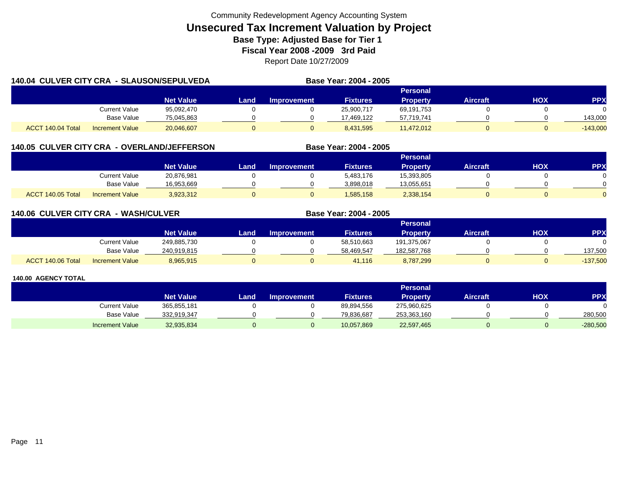| 140.04 CULVER CITY CRA - SLAUSON/SEPULVEDA |                        |                  |      |             | Base Year: 2004 - 2005 |                 |                 |     |            |
|--------------------------------------------|------------------------|------------------|------|-------------|------------------------|-----------------|-----------------|-----|------------|
|                                            |                        |                  |      |             |                        | <b>Personal</b> |                 |     |            |
|                                            |                        | <b>Net Value</b> | Land | Improvement | <b>Fixtures</b>        | <b>Property</b> | <b>Aircraft</b> | HOX | <b>PPX</b> |
|                                            | Current Value          | 95.092.470       |      |             | 25.900.717             | 69,191,753      |                 |     |            |
|                                            | Base Value             | 75,045,863       |      |             | 17.469.122             | 57,719,741      |                 |     | 143,000    |
| ACCT 140.04 Total                          | <b>Increment Value</b> | 20.046.607       |      |             | 8.431.595              | 11,472,012      |                 |     | $-143,000$ |

# **140.05 CULVER CITY CRA - OVERLAND/JEFFERSON**

|                   |                        |                  |      |                    |                 | Personal        |          |     |     |
|-------------------|------------------------|------------------|------|--------------------|-----------------|-----------------|----------|-----|-----|
|                   |                        | <b>Net Value</b> | Land | <b>Improvement</b> | <b>Fixtures</b> | <b>Property</b> | Aircraft | нох | PPX |
|                   | Current Value          | 20,876,981       |      |                    | 5,483,176       | 15,393,805      |          |     |     |
|                   | <b>Base Value</b>      | 16.953.669       |      |                    | 3,898,018       | 13,055,651      |          |     |     |
| ACCT 140.05 Total | <b>Increment Value</b> | 3,923,312        |      |                    | 1,585,158       | 2,338,154       |          |     |     |

**Base Year: 2004 - 2005**

**Base Year: 2004 - 2005**

### **140.06 CULVER CITY CRA - WASH/CULVER**

|                   |                        |                  |      |                    |                 | Personal    |                 |            |            |
|-------------------|------------------------|------------------|------|--------------------|-----------------|-------------|-----------------|------------|------------|
|                   |                        | <b>Net Value</b> | Land | <b>Improvement</b> | <b>Fixtures</b> | Property    | <b>Aircraft</b> | <b>HOX</b> | PPX        |
|                   | <b>Current Value</b>   | 249,885,730      |      |                    | 58,510,663      | 191,375,067 |                 |            | 0          |
|                   | <b>Base Value</b>      | 240,919,815      |      |                    | 58.469.547      | 182,587,768 |                 |            | 137,500    |
| ACCT 140.06 Total | <b>Increment Value</b> | 8,965,915        |      |                    | 41.116          | 8,787,299   |                 |            | $-137,500$ |

|                        |                  |      |                    |                 | Personal        |                 |     |            |
|------------------------|------------------|------|--------------------|-----------------|-----------------|-----------------|-----|------------|
|                        | <b>Net Value</b> | Land | <b>Improvement</b> | <b>Fixtures</b> | <b>Property</b> | <b>Aircraft</b> | нох | <b>PPX</b> |
| Current Value          | 365,855,181      |      |                    | 89,894,556      | 275,960,625     |                 |     |            |
| <b>Base Value</b>      | 332,919,347      |      |                    | 79,836,687      | 253,363,160     |                 |     | 280,500    |
| <b>Increment Value</b> | 32,935,834       |      |                    | 10,057,869      | 22,597,465      |                 |     | $-280,500$ |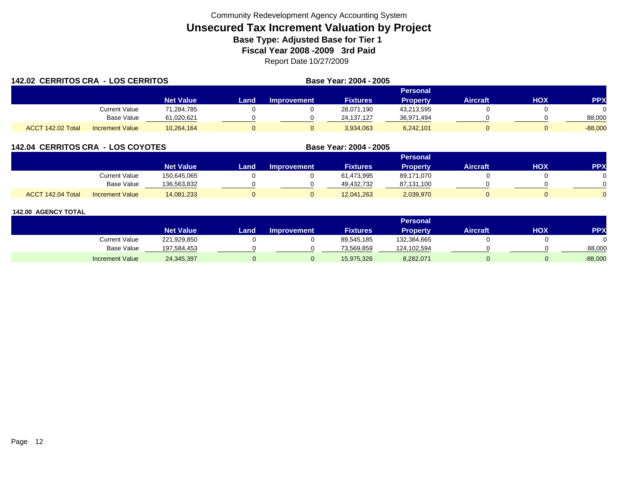| 142.02 CERRITOS CRA - LOS CERRITOS |                        |                  |       | Base Year: 2004 - 2005 |                 |                 |                 |     |            |
|------------------------------------|------------------------|------------------|-------|------------------------|-----------------|-----------------|-----------------|-----|------------|
|                                    |                        |                  |       |                        |                 | <b>Personal</b> |                 |     |            |
|                                    |                        | <b>Net Value</b> | Landı | Improvement            | <b>Fixtures</b> | <b>Property</b> | <b>Aircraft</b> | нох | <b>PPX</b> |
|                                    | Current Value          | 71.284.785       |       |                        | 28,071,190      | 43,213,595      |                 |     |            |
|                                    | Base Value             | 61,020,621       |       |                        | 24.137.127      | 36,971,494      |                 |     | 88,000     |
| <b>ACCT 142.02 Total</b>           | <b>Increment Value</b> | 10,264,164       |       |                        | 3,934,063       | 6,242,101       |                 |     | $-88,000$  |

# **142.04 CERRITOS CRA - LOS COYOTES**

|                   |                        |                  | Personal |                    |                 |                 |          |     |     |  |  |  |
|-------------------|------------------------|------------------|----------|--------------------|-----------------|-----------------|----------|-----|-----|--|--|--|
|                   |                        | <b>Net Value</b> | Land     | <b>Improvement</b> | <b>Fixtures</b> | <b>Property</b> | Aircraft | нох | PPX |  |  |  |
|                   | Current Value          | 150,645,065      |          |                    | 61,473,995      | 89,171,070      |          |     |     |  |  |  |
|                   | Base Value             | 136,563,832      |          |                    | 49.432.732      | 87,131,100      |          |     |     |  |  |  |
| ACCT 142.04 Total | <b>Increment Value</b> | 14,081,233       |          |                    | 12,041,263      | 2,039,970       |          |     |     |  |  |  |

**Base Year: 2004 - 2005**

|                        |                  |      |                    |                 | <b>Personal</b> |                 |            |            |
|------------------------|------------------|------|--------------------|-----------------|-----------------|-----------------|------------|------------|
|                        | <b>Net Value</b> | Land | <b>Improvement</b> | <b>Fixtures</b> | Property        | <b>Aircraft</b> | <b>XOH</b> | <b>PPX</b> |
| Current Value          | 221,929,850      |      |                    | 89,545,185      | 132,384,665     |                 |            |            |
| <b>Base Value</b>      | 197,584,453      |      |                    | 73,569,859      | 124,102,594     |                 |            | 88,000     |
| <b>Increment Value</b> | 24,345,397       |      |                    | 15,975,326      | 8,282,071       |                 |            | $-88,000$  |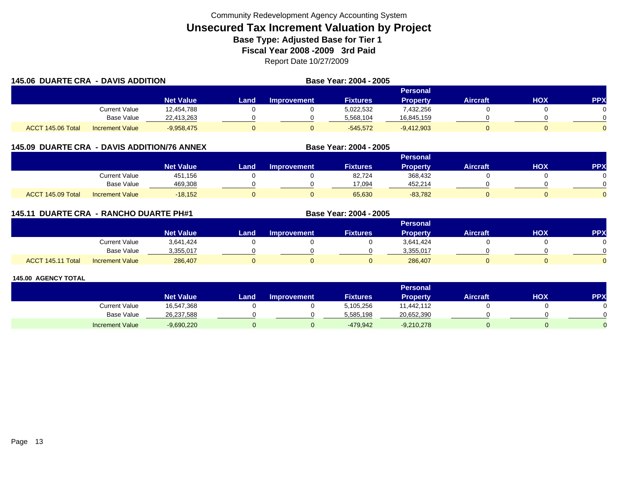| <b>145.06 DUARTE CRA - DAVIS ADDITION</b> |                        |                  |       |             | Base Year: 2004 - 2005 |                 |                 |     |            |  |
|-------------------------------------------|------------------------|------------------|-------|-------------|------------------------|-----------------|-----------------|-----|------------|--|
|                                           |                        |                  |       | Personal    |                        |                 |                 |     |            |  |
|                                           |                        | <b>Net Value</b> | Land. | Improvement | <b>Fixtures</b>        | <b>Property</b> | <b>Aircraft</b> | HOX | <b>PPX</b> |  |
|                                           | <b>Current Value</b>   | 12,454,788       |       |             | 5,022,532              | 7,432,256       |                 |     |            |  |
|                                           | Base Value             | 22.413.263       |       |             | 5.568.104              | 16,845,159      |                 |     |            |  |
| ACCT 145.06 Total                         | <b>Increment Value</b> | $-9,958,475$     |       |             | $-545.572$             | $-9,412,903$    |                 |     |            |  |

# **145.09 DUARTE CRA - DAVIS ADDITION/76 ANNEX**

|                   |                        | Personal         |      |                    |                 |           |                 |            |     |  |  |
|-------------------|------------------------|------------------|------|--------------------|-----------------|-----------|-----------------|------------|-----|--|--|
|                   |                        | <b>Net Value</b> | Land | <b>Improvement</b> | <b>Fixtures</b> | Property  | <b>Aircraft</b> | <b>HOX</b> | PPX |  |  |
|                   | Current Value          | 451,156          |      |                    | 82,724          | 368,432   |                 |            |     |  |  |
|                   | <b>Base Value</b>      | 469.308          |      |                    | 17.094          | 452,214   |                 |            | ∩   |  |  |
| ACCT 145.09 Total | <b>Increment Value</b> | $-18,152$        |      |                    | 65,630          | $-83,782$ |                 |            |     |  |  |

**Base Year: 2004 - 2005**

# **145.11 DUARTE CRA - RANCHO DUARTE PH#1 Base Year: 2004 - 2005**

|                   |                        |                  |      |                    |                 | Personal  |                 |            |          |
|-------------------|------------------------|------------------|------|--------------------|-----------------|-----------|-----------------|------------|----------|
|                   |                        | <b>Net Value</b> | Land | <b>Improvement</b> | <b>Fixtures</b> | Property  | <b>Aircraft</b> | <b>HOX</b> | PPX      |
|                   | <b>Current Value</b>   | 3,641,424        |      |                    |                 | 3,641,424 |                 |            |          |
|                   | <b>Base Value</b>      | 3,355,017        |      |                    |                 | 3,355,017 |                 |            | 0        |
| ACCT 145.11 Total | <b>Increment Value</b> | 286,407          |      |                    |                 | 286,407   |                 |            | $\Omega$ |

|                        |                  |      |                    |                 | <b>Personal</b> |                 |            |            |
|------------------------|------------------|------|--------------------|-----------------|-----------------|-----------------|------------|------------|
|                        | <b>Net Value</b> | Land | <b>Improvement</b> | <b>Fixtures</b> | Property        | <b>Aircraft</b> | <b>HOX</b> | <b>PPX</b> |
| <b>Current Value</b>   | 16,547,368       |      |                    | 5,105,256       | 11,442,112      |                 |            |            |
| <b>Base Value</b>      | 26,237,588       |      |                    | 5,585,198       | 20,652,390      |                 |            |            |
| <b>Increment Value</b> | $-9,690,220$     |      |                    | $-479.942$      | $-9,210,278$    |                 |            |            |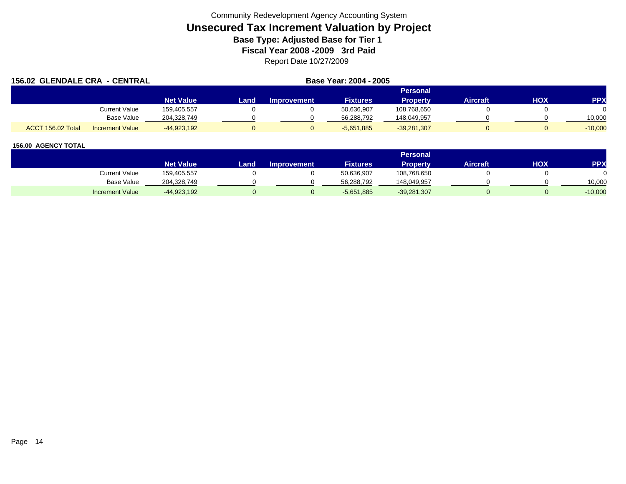| 156.02 GLENDALE CRA - CENTRAL |                        |                  | Base Year: 2004 - 2005 |                    |                 |                 |          |     |            |
|-------------------------------|------------------------|------------------|------------------------|--------------------|-----------------|-----------------|----------|-----|------------|
|                               |                        |                  |                        |                    |                 | Personal        |          |     |            |
|                               |                        | <b>Net Value</b> | Land                   | <b>Improvement</b> | <b>Fixtures</b> | <b>Property</b> | Aircraft | HOX | <b>PPX</b> |
|                               | Current Value          | 159,405,557      |                        |                    | 50,636,907      | 108,768,650     |          |     |            |
|                               | Base Value             | 204,328,749      |                        |                    | 56.288.792      | 148,049,957     |          |     | 10,000     |
| ACCT 156.02 Total             | <b>Increment Value</b> | $-44,923,192$    |                        |                    | $-5,651,885$    | $-39,281,307$   |          |     | $-10,000$  |

|                        |                  | <b>Personal</b> |                    |                 |               |                 |     |           |  |  |
|------------------------|------------------|-----------------|--------------------|-----------------|---------------|-----------------|-----|-----------|--|--|
|                        | <b>Net Value</b> | Land            | <b>Improvement</b> | <b>Fixtures</b> | Property      | <b>Aircraft</b> | HOX | PPX       |  |  |
| Current Value          | 159,405,557      |                 |                    | 50,636,907      | 108,768,650   |                 |     |           |  |  |
| Base Value             | 204.328.749      |                 |                    | 56.288.792      | 148,049,957   |                 |     | 10,000    |  |  |
| <b>Increment Value</b> | $-44,923,192$    |                 |                    | $-5,651,885$    | $-39,281,307$ |                 |     | $-10,000$ |  |  |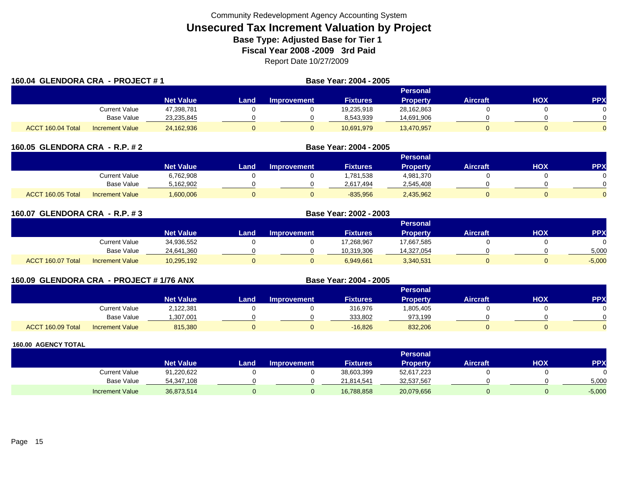| 160.04 GLENDORA CRA - PROJECT #1 |                        |                  |      |                    | Base Year: 2004 - 2005 |                 |                 |            |            |
|----------------------------------|------------------------|------------------|------|--------------------|------------------------|-----------------|-----------------|------------|------------|
|                                  |                        |                  |      |                    |                        |                 |                 |            |            |
|                                  |                        | <b>Net Value</b> | Land | <b>Improvement</b> | <b>Fixtures</b>        | <b>Property</b> | <b>Aircraft</b> | <b>HOX</b> | <b>PPX</b> |
|                                  | Current Value          | 47,398,781       |      |                    | 19,235,918             | 28,162,863      |                 |            | $\Omega$   |
|                                  | Base Value             | 23,235,845       |      |                    | 8.543.939              | 14,691,906      |                 |            | $\Omega$   |
| ACCT 160.04 Total                | <b>Increment Value</b> | 24,162,936       |      |                    | 10,691,979             | 13,470,957      |                 |            | $\Omega$   |

| 160.05  GLENDORA CRA  - R.P. # 2 |  |
|----------------------------------|--|
|                                  |  |

|                   |                        |                  | Personal |             |                 |           |                 |            |            |  |  |  |  |
|-------------------|------------------------|------------------|----------|-------------|-----------------|-----------|-----------------|------------|------------|--|--|--|--|
|                   |                        | <b>Net Value</b> | Land     | Improvement | <b>Fixtures</b> | Propertv  | <b>Aircraft</b> | <b>HOX</b> | <b>PPX</b> |  |  |  |  |
|                   | <b>Current Value</b>   | 6,762,908        |          |             | 1,781,538       | 4,981,370 |                 |            |            |  |  |  |  |
|                   | <b>Base Value</b>      | 5,162,902        |          |             | 2,617,494       | 2,545,408 |                 |            |            |  |  |  |  |
| ACCT 160.05 Total | <b>Increment Value</b> | 1,600,006        |          |             | $-835,956$      | 2,435,962 |                 |            |            |  |  |  |  |

**GLENDORA CRA - R.P. # 2 Base Year: 2004 - 2005**

| 160.07 GLENDORA CRA - R.P. #3 |                        |                  | Base Year: 2002 - 2003 |                    |                 |                 |          |            |          |  |
|-------------------------------|------------------------|------------------|------------------------|--------------------|-----------------|-----------------|----------|------------|----------|--|
|                               |                        |                  |                        |                    |                 | Personal        |          |            |          |  |
|                               |                        | <b>Net Value</b> | Land I                 | <b>Improvement</b> | <b>Fixtures</b> | <b>Property</b> | Aircraft | <b>HOX</b> | PPX      |  |
|                               | <b>Current Value</b>   | 34,936,552       |                        |                    | 17,268,967      | 17,667,585      |          |            | $\Omega$ |  |
|                               | Base Value             | 24,641,360       |                        |                    | 10.319.306      | 14,327,054      |          |            | 5,000    |  |
| ACCT 160.07 Total             | <b>Increment Value</b> | 10,295,192       | 0                      |                    | 6,949,661       | 3,340,531       |          |            | $-5,000$ |  |

| 160.09 GLENDORA CRA - PROJECT # 1/76 ANX |   |                  |      |                    | Base Year: 2004 - 2005 |          |          |     |     |
|------------------------------------------|---|------------------|------|--------------------|------------------------|----------|----------|-----|-----|
|                                          |   |                  |      |                    |                        | Personal |          |     |     |
|                                          |   | <b>Net Value</b> | Land | <b>Improvement</b> | <b>Fixtures</b>        | Property | Aircraft | ישו | PPX |
| __                                       | . |                  |      |                    |                        |          |          |     |     |

|      |                  | ∶urrent Value          | 2,122,38 |  | 316,976   | ,805,405 |  |  |
|------|------------------|------------------------|----------|--|-----------|----------|--|--|
|      |                  | <b>Base Value</b>      | .307.00' |  | 333.802   | 973.199  |  |  |
| ACCT | $T$ 160.09 Total | <b>Increment Value</b> | 815,380  |  | $-16,826$ | 832,206  |  |  |

|                        |                  |      |                    |                 | <b>Personal</b> |                 |     |          |
|------------------------|------------------|------|--------------------|-----------------|-----------------|-----------------|-----|----------|
|                        | <b>Net Value</b> | Land | <b>Improvement</b> | <b>Fixtures</b> | Property        | <b>Aircraft</b> | нох | PPX      |
| Current Value          | 91,220,622       |      |                    | 38,603,399      | 52,617,223      |                 |     |          |
| <b>Base Value</b>      | 54,347,108       |      |                    | 21,814,541      | 32,537,567      |                 |     | 5,000    |
| <b>Increment Value</b> | 36,873,514       |      |                    | 16,788,858      | 20,079,656      |                 |     | $-5,000$ |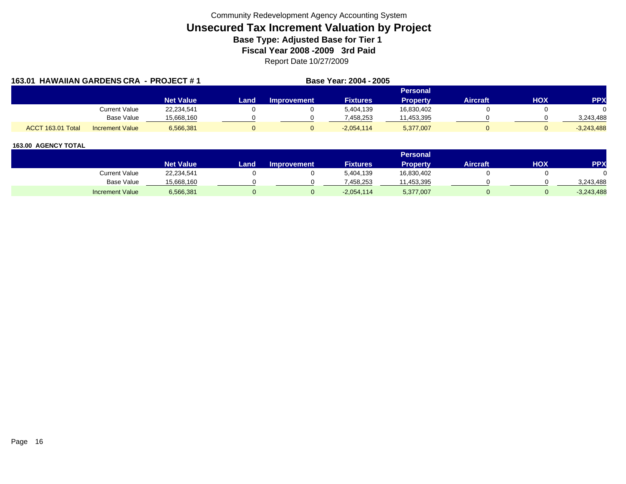|                   | 163.01 HAWAIIAN GARDENS CRA - PROJECT #1 |                  | Base Year: 2004 - 2005 |                    |                 |                 |          |     |              |
|-------------------|------------------------------------------|------------------|------------------------|--------------------|-----------------|-----------------|----------|-----|--------------|
|                   |                                          |                  |                        |                    |                 | Personal        |          |     |              |
|                   |                                          | <b>Net Value</b> | Land                   | <b>Improvement</b> | <b>Fixtures</b> | <b>Property</b> | Aircraft | HOX | <b>PPX</b>   |
|                   | Current Value                            | 22,234,541       |                        |                    | 5.404.139       | 16,830,402      |          |     |              |
|                   | Base Value                               | 15,668,160       |                        |                    | 7,458,253       | 11,453,395      |          |     | 3,243,488    |
| ACCT 163.01 Total | <b>Increment Value</b>                   | 6,566,381        |                        |                    | $-2.054.114$    | 5,377,007       |          |     | $-3.243.488$ |

|                        |                  |       |                    |                 | <b>Personal</b> |          |     |              |
|------------------------|------------------|-------|--------------------|-----------------|-----------------|----------|-----|--------------|
|                        | <b>Net Value</b> | Land. | <b>Improvement</b> | <b>Fixtures</b> | Property        | Aircraft | нох | PPX          |
| <b>Current Value</b>   | 22,234,541       |       |                    | 5,404,139       | 16,830,402      |          |     |              |
| <b>Base Value</b>      | 15,668,160       |       |                    | 458.253         | 1,453,395       |          |     | 3,243,488    |
| <b>Increment Value</b> | 6,566,381        |       |                    | $-2,054,114$    | 5,377,007       |          |     | $-3,243,488$ |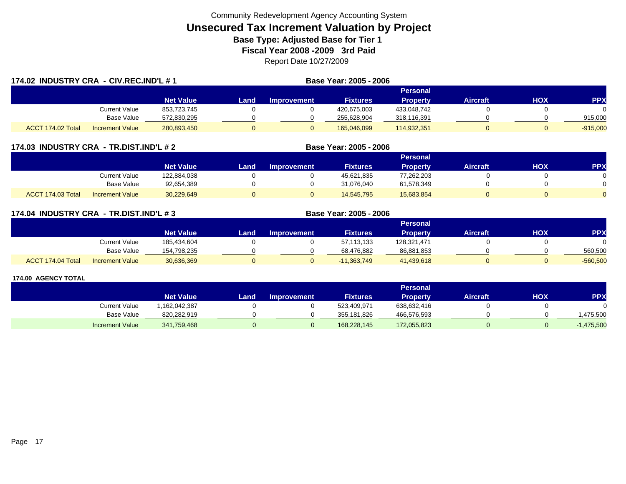| 174.02 INDUSTRY CRA - CIV.REC.IND'L #1 |                        |                  |       | Base Year: 2005 - 2006 |                 |                 |                 |     |            |
|----------------------------------------|------------------------|------------------|-------|------------------------|-----------------|-----------------|-----------------|-----|------------|
|                                        |                        |                  |       | <b>Personal</b>        |                 |                 |                 |     |            |
|                                        |                        | <b>Net Value</b> | Land. | <b>Improvement</b>     | <b>Fixtures</b> | <b>Property</b> | <b>Aircraft</b> | HOX | <b>PPX</b> |
|                                        | <b>Current Value</b>   | 853,723,745      |       |                        | 420,675,003     | 433,048,742     |                 |     |            |
|                                        | Base Value             | 572,830,295      |       |                        | 255,628,904     | 318,116,391     |                 |     | 915,000    |
| ACCT 174.02 Total                      | <b>Increment Value</b> | 280,893,450      | 0     |                        | 165,046,099     | 114,932,351     |                 |     | $-915,000$ |

### **174.03 INDUSTRY CRA - TR.DIST.IND'L # 2 Base Year: 2005 - 2006**

|                                             |                  |      |                    |                 | Personal        |          |     |     |
|---------------------------------------------|------------------|------|--------------------|-----------------|-----------------|----------|-----|-----|
|                                             | <b>Net Value</b> | Land | <b>Improvement</b> | <b>Fixtures</b> | <b>Property</b> | Aircraft | нох | PPX |
| Current Value                               | 122,884,038      |      |                    | 45,621,835      | 77,262,203      |          |     |     |
| <b>Base Value</b>                           | 92,654,389       |      |                    | 31.076.040      | 61,578,349      |          |     |     |
| ACCT 174.03 Total<br><b>Increment Value</b> | 30,229,649       |      |                    | 14,545,795      | 15,683,854      |          |     |     |

| 174.04 INDUSTRY CRA - TR.DIST.IND'L # 3 |  |  |  |  |
|-----------------------------------------|--|--|--|--|
|-----------------------------------------|--|--|--|--|

|                   |                        |                  |      |             |                 | Personal    |                 |     |            |
|-------------------|------------------------|------------------|------|-------------|-----------------|-------------|-----------------|-----|------------|
|                   |                        | <b>Net Value</b> | Land | Improvement | <b>Fixtures</b> | Property    | <b>Aircraft</b> | нох | <b>PPX</b> |
|                   | Current Value          | 185,434,604      |      |             | 57,113,133      | 128,321,471 |                 |     |            |
|                   | <b>Base Value</b>      | 154,798,235      |      |             | 68,476,882      | 86,881,853  |                 |     | 560,500    |
| ACCT 174.04 Total | <b>Increment Value</b> | 30,636,369       |      |             | $-11,363,749$   | 41,439,618  |                 |     | $-560,500$ |

**Base Year: 2005 - 2006** 

|                        |                  |      |                    |                 | <b>Personal</b> |                 |     |            |
|------------------------|------------------|------|--------------------|-----------------|-----------------|-----------------|-----|------------|
|                        | <b>Net Value</b> | Land | <b>Improvement</b> | <b>Fixtures</b> | Property        | <b>Aircraft</b> | HOX | <b>PPX</b> |
| <b>Current Value</b>   | 1,162,042,387    |      |                    | 523,409,971     | 638,632,416     |                 |     |            |
| <b>Base Value</b>      | 820,282,919      |      |                    | 355,181,826     | 466,576,593     |                 |     | ,475,500   |
| <b>Increment Value</b> | 341,759,468      |      |                    | 168,228,145     | 172,055,823     |                 |     | ,475,500   |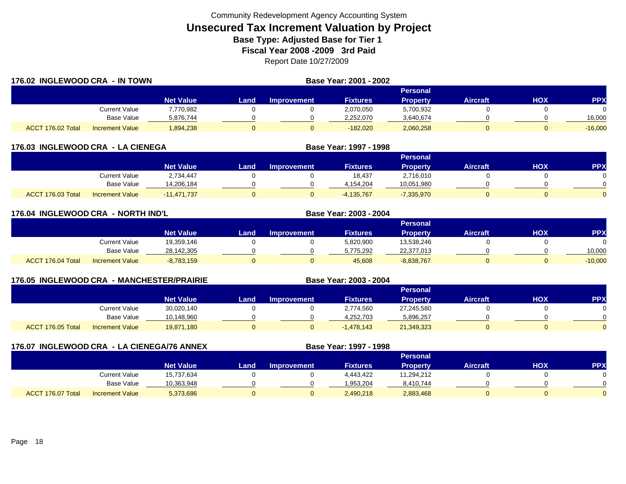| 176.02 INGLEWOOD CRA - IN TOWN |                        |                  |       |             | Base Year: 2001 - 2002 |                 |                 |     |            |
|--------------------------------|------------------------|------------------|-------|-------------|------------------------|-----------------|-----------------|-----|------------|
|                                |                        |                  |       |             |                        | <b>Personal</b> |                 |     |            |
|                                |                        | <b>Net Value</b> | Land. | Improvement | <b>Fixtures</b>        | <b>Property</b> | <b>Aircraft</b> | HOX | <b>PPX</b> |
|                                | Current Value          | 7,770,982        |       |             | 2,070,050              | 5,700,932       |                 |     |            |
|                                | Base Value             | 5.876.744        |       |             | 2,252,070              | 3,640,674       |                 |     | 16,000     |
| ACCT 176.02 Total              | <b>Increment Value</b> | 1,894,238        |       |             | $-182.020$             | 2,060,258       |                 |     | $-16,000$  |

| 176.03 INGLEWOOD CRA - LA CIENEGA |                        |                  |      |                    | Base Year: 1997 - 1998 |                 |                 |     |            |  |  |  |
|-----------------------------------|------------------------|------------------|------|--------------------|------------------------|-----------------|-----------------|-----|------------|--|--|--|
|                                   |                        |                  |      | Personal           |                        |                 |                 |     |            |  |  |  |
|                                   |                        | <b>Net Value</b> | Land | <b>Improvement</b> | <b>Fixtures</b>        | <b>Property</b> | <b>Aircraft</b> | НОХ | <b>PPX</b> |  |  |  |
|                                   | Current Value          | 2,734,447        |      |                    | 18.437                 | 2,716,010       |                 |     |            |  |  |  |
|                                   | <b>Base Value</b>      | 14.206.184       |      |                    | 4,154,204              | 10,051,980      |                 |     |            |  |  |  |
| ACCT 176.03 Total                 | <b>Increment Value</b> | $-11.471.737$    |      |                    | $-4,135,767$           | $-7,335,970$    |                 |     |            |  |  |  |

| 176.04 INGLEWOOD CRA - NORTH IND'L |                        |                  | Base Year: 2003 - 2004 |                    |                 |                 |                 |            |            |
|------------------------------------|------------------------|------------------|------------------------|--------------------|-----------------|-----------------|-----------------|------------|------------|
|                                    |                        |                  |                        |                    |                 | Personal        |                 |            |            |
|                                    |                        | <b>Net Value</b> | _and                   | <b>Improvement</b> | <b>Fixtures</b> | <b>Property</b> | <b>Aircraft</b> | <b>HOX</b> | <b>PPX</b> |
|                                    | Current Value          | 19,359,146       |                        |                    | 5,820,900       | 13,538,246      |                 |            | $\Omega$   |
|                                    | <b>Base Value</b>      | 28,142,305       |                        |                    | 5,775,292       | 22,377,013      |                 |            | 10,000     |
| ACCT 176.04 Total                  | <b>Increment Value</b> | $-8,783,159$     |                        |                    | 45,608          | $-8,838,767$    |                 |            | $-10,000$  |

| <b>- MANCHESTER/PRAIRIE</b><br><b>176.05 INGLEWOOD CRA</b><br>Base Year: 2003 - 2004 |                   |                        |                  |      |                    |                 |                 |                 |     |            |
|--------------------------------------------------------------------------------------|-------------------|------------------------|------------------|------|--------------------|-----------------|-----------------|-----------------|-----|------------|
|                                                                                      |                   |                        |                  |      |                    |                 | Personal        |                 |     |            |
|                                                                                      |                   |                        | <b>Net Value</b> | Land | <b>Improvement</b> | <b>Fixtures</b> | <b>Property</b> | <b>Aircraft</b> | нох | <b>PPX</b> |
|                                                                                      |                   | <b>Current Value</b>   | 30,020,140       |      |                    | 2,774,560       | 27,245,580      |                 |     |            |
|                                                                                      |                   | Base Value             | 10,148,960       |      |                    | 4,252,703       | 5,896,257       |                 |     |            |
|                                                                                      | ACCT 176.05 Total | <b>Increment Value</b> | 19,871,180       |      |                    | $-1,478,143$    | 21,349,323      |                 |     |            |

| 176.07 INGLEWOOD CRA - LA CIENEGA/76 ANNEX |                   |                        |                  | Base Year: 1997 - 1998 |                    |                 |                 |                 |     |            |
|--------------------------------------------|-------------------|------------------------|------------------|------------------------|--------------------|-----------------|-----------------|-----------------|-----|------------|
|                                            |                   |                        |                  |                        |                    |                 | <b>Personal</b> |                 |     |            |
|                                            |                   |                        | <b>Net Value</b> | Land                   | <b>Improvement</b> | <b>Fixtures</b> | <b>Property</b> | <b>Aircraft</b> | нох | <b>PPX</b> |
|                                            |                   | Current Value          | 15,737,634       |                        |                    | 4.443.422       | 11,294,212      |                 |     |            |
|                                            |                   | Base Value             | 10,363,948       |                        |                    | 1,953,204       | 8,410,744       |                 |     |            |
|                                            | ACCT 176.07 Total | <b>Increment Value</b> | 5,373,686        |                        |                    | 2,490,218       | 2,883,468       |                 |     |            |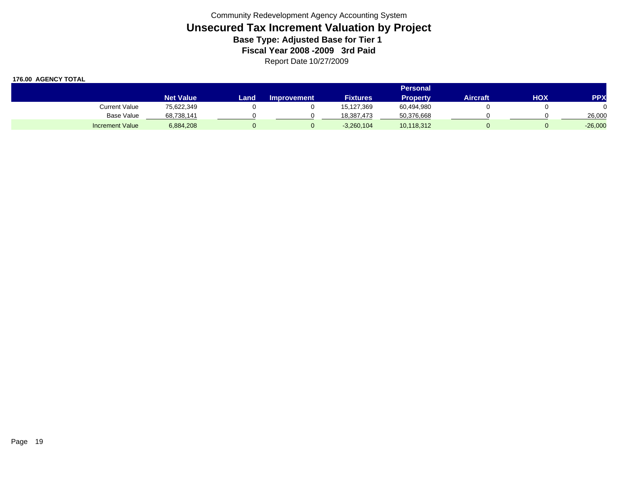|                        |                  | <b>Personal</b> |                    |                 |            |          |     |            |  |  |
|------------------------|------------------|-----------------|--------------------|-----------------|------------|----------|-----|------------|--|--|
|                        | <b>Net Value</b> | Landı           | <b>Improvement</b> | <b>Fixtures</b> | Property   | Aircraft | HOX | <b>PPX</b> |  |  |
| Current Value          | 75,622,349       |                 |                    | 15,127,369      | 60,494,980 |          |     |            |  |  |
| Base Value             | 68,738,141       |                 |                    | 18.387.473      | 50,376,668 |          |     | 26,000     |  |  |
| <b>Increment Value</b> | 6,884,208        |                 |                    | $-3,260,104$    | 10,118,312 |          |     | $-26,000$  |  |  |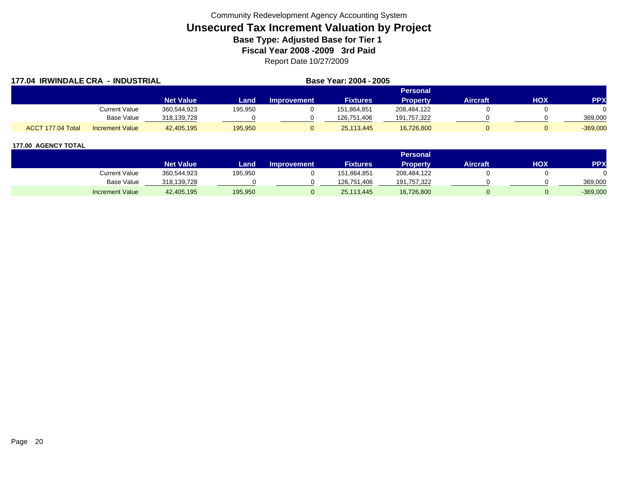| <b>177.04 IRWINDALE CRA</b><br>. - INDUSTRIAL |                        |                  |         | Base Year: 2004 - 2005 |                 |                 |                 |     |            |
|-----------------------------------------------|------------------------|------------------|---------|------------------------|-----------------|-----------------|-----------------|-----|------------|
|                                               |                        |                  |         |                        | <b>Personal</b> |                 |                 |     |            |
|                                               |                        | <b>Net Value</b> | Land    | <b>Improvement</b>     | <b>Fixtures</b> | <b>Property</b> | <b>Aircraft</b> | HOX | <b>PPX</b> |
|                                               | Current Value          | 360.544.923      | 195,950 |                        | 151.864.851     | 208,484,122     |                 |     |            |
|                                               | Base Value             | 318,139,728      |         |                        | 126,751,406     | 191,757,322     |                 |     | 369,000    |
| ACCT 177.04 Total                             | <b>Increment Value</b> | 42,405,195       | 195,950 |                        | 25.113.445      | 16,726,800      |                 |     | $-369,000$ |

|                        |                  |         |                    |                 | <b>Personal</b> |                 |     |            |
|------------------------|------------------|---------|--------------------|-----------------|-----------------|-----------------|-----|------------|
|                        | <b>Net Value</b> | Land    | <b>Improvement</b> | <b>Fixtures</b> | <b>Property</b> | <b>Aircraft</b> | HOX | PPX        |
| Current Value          | 360,544,923      | 195,950 |                    | 151,864,851     | 208,484,122     |                 |     |            |
| Base Value             | 318,139,728      |         |                    | 126.751.406     | 191,757,322     |                 |     | 369.000    |
| <b>Increment Value</b> | 42,405,195       | 195,950 |                    | 25,113,445      | 16,726,800      |                 |     | $-369,000$ |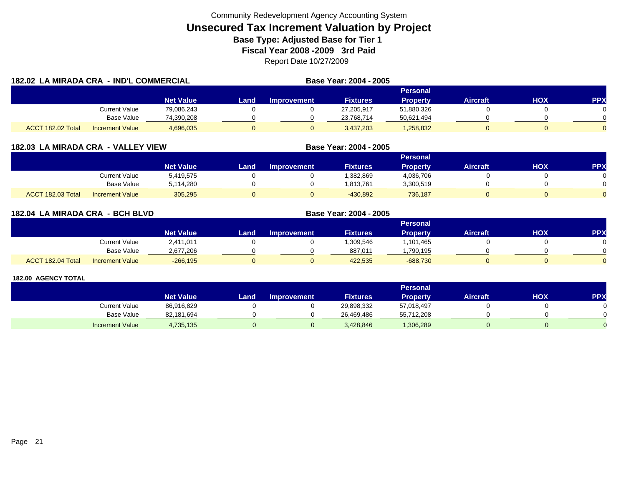| 182.02 LA MIRADA CRA - IND'L COMMERCIAL |                        |                  | Base Year: 2004 - 2005 |                    |                 |                 |                 |     |            |
|-----------------------------------------|------------------------|------------------|------------------------|--------------------|-----------------|-----------------|-----------------|-----|------------|
|                                         |                        |                  |                        |                    |                 | <b>Personal</b> |                 |     |            |
|                                         |                        | <b>Net Value</b> | Land                   | <b>Improvement</b> | <b>Fixtures</b> | <b>Property</b> | <b>Aircraft</b> | нох | <b>PPX</b> |
|                                         | <b>Current Value</b>   | 79,086,243       |                        |                    | 27,205,917      | 51,880,326      |                 |     |            |
|                                         | <b>Base Value</b>      | 74,390,208       |                        |                    | 23,768,714      | 50,621,494      |                 |     |            |
| ACCT 182.02 Total                       | <b>Increment Value</b> | 4,696,035        |                        |                    | 3,437,203       | 1,258,832       |                 |     |            |

|  | 182.03  LA MIRADA CRA  - VALLEY VIEW |  |  |  |
|--|--------------------------------------|--|--|--|
|--|--------------------------------------|--|--|--|

|                   |                        |                  |      |                    |                 | Personal  |                 |            |            |
|-------------------|------------------------|------------------|------|--------------------|-----------------|-----------|-----------------|------------|------------|
|                   |                        | <b>Net Value</b> | Land | <b>Improvement</b> | <b>Fixtures</b> | Property  | <b>Aircraft</b> | <b>NOK</b> | <b>PPX</b> |
|                   | <b>Current Value</b>   | 5,419,575        |      |                    | ,382,869        | 4,036,706 |                 |            |            |
|                   | <b>Base Value</b>      | 5.114.280        |      |                    | 1.813.761       | 3,300,519 |                 |            |            |
| ACCT 182.03 Total | <b>Increment Value</b> | 305,295          |      |                    | $-430,892$      | 736,187   |                 |            |            |

**Base Year: 2004 - 2005**

| 182.04 LA MIRADA CRA - BCH BLVD |                        |                  | Base Year: 2004 - 2005 |                    |                 |                 |                 |     |            |  |  |
|---------------------------------|------------------------|------------------|------------------------|--------------------|-----------------|-----------------|-----------------|-----|------------|--|--|
|                                 |                        |                  |                        |                    |                 |                 |                 |     |            |  |  |
|                                 |                        | <b>Net Value</b> | Land.                  | <b>Improvement</b> | <b>Fixtures</b> | <b>Property</b> | <b>Aircraft</b> | нох | <b>PPX</b> |  |  |
|                                 | <b>Current Value</b>   | 2,411,011        |                        |                    | 1,309,546       | 1,101,465       |                 |     |            |  |  |
|                                 | Base Value             | 2,677,206        |                        |                    | 887,011         | .790,195        |                 |     |            |  |  |
| ACCT 182.04 Total               | <b>Increment Value</b> | $-266,195$       | 0                      |                    | 422,535         | $-688,730$      |                 |     |            |  |  |

|                        |                  |      |                    |                 | <b>Personal</b> |                 |            |            |
|------------------------|------------------|------|--------------------|-----------------|-----------------|-----------------|------------|------------|
|                        | <b>Net Value</b> | Land | <b>Improvement</b> | <b>Fixtures</b> | <b>Property</b> | <b>Aircraft</b> | <b>HOX</b> | <b>PPX</b> |
| Current Value          | 86,916,829       |      |                    | 29,898,332      | 57,018,497      |                 |            |            |
| <b>Base Value</b>      | 82,181,694       |      |                    | 26.469.486      | 55,712,208      |                 |            |            |
| <b>Increment Value</b> | 4,735,135        |      |                    | 3,428,846       | 1,306,289       |                 |            |            |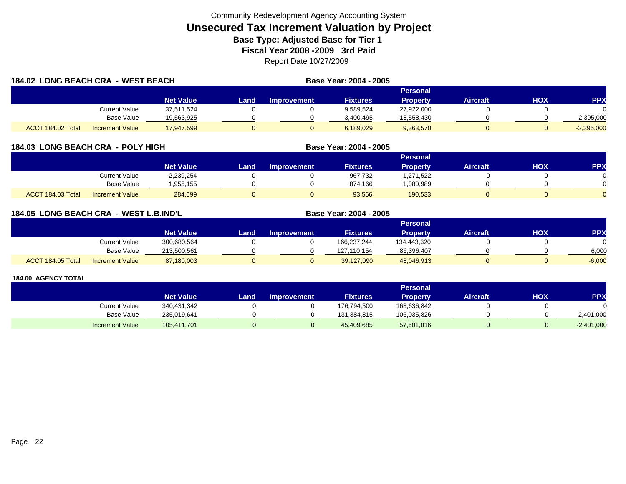| <b>184.02 LONG BEACH CRA - WEST BEACH</b> |                        |            |      |                    | Base Year: 2004 - 2005 |                 |                 |     |              |
|-------------------------------------------|------------------------|------------|------|--------------------|------------------------|-----------------|-----------------|-----|--------------|
|                                           |                        |            |      |                    |                        | Personal        |                 |     |              |
|                                           |                        | Net Value  | Land | <b>Improvement</b> | <b>Fixtures</b>        | <b>Property</b> | <b>Aircraft</b> | HOX | <b>PPX</b>   |
|                                           | <b>Current Value</b>   | 37.511.524 |      |                    | 9,589,524              | 27,922,000      |                 |     |              |
|                                           | Base Value             | 19,563,925 |      |                    | 3,400,495              | 18,558,430      |                 |     | 2,395,000    |
| ACCT 184.02 Total                         | <b>Increment Value</b> | 17,947,599 |      |                    | 6,189,029              | 9,363,570       |                 |     | $-2,395,000$ |

### **184.03 LONG BEACH CRA - POLY HIGH**

|                                             |                  |      |                    |                 | Personal |                 |            |              |
|---------------------------------------------|------------------|------|--------------------|-----------------|----------|-----------------|------------|--------------|
|                                             | <b>Net Value</b> | Land | <b>Improvement</b> | <b>Fixtures</b> | Property | <b>Aircraft</b> | <b>HOX</b> | PPX          |
| Current Value                               | 2,239,254        |      |                    | 967,732         | ,271,522 |                 |            |              |
| Base Value                                  | .955.155         |      |                    | 874.166         | 080,989  |                 |            | <sup>n</sup> |
| ACCT 184.03 Total<br><b>Increment Value</b> | 284,099          |      |                    | 93,566          | 190,533  |                 |            | $\Omega$     |

**Base Year: 2004 - 2005**

**Base Year: 2004 - 2005**

### **184.05 LONG BEACH CRA - WEST L.B.IND'L**

|                   |                        |                  |      |                    |                 | Personal    |                 |            |          |
|-------------------|------------------------|------------------|------|--------------------|-----------------|-------------|-----------------|------------|----------|
|                   |                        | <b>Net Value</b> | Land | <b>Improvement</b> | <b>Fixtures</b> | Property    | <b>Aircraft</b> | <b>HOX</b> | PPX      |
|                   | Current Value          | 300,680,564      |      |                    | 166,237,244     | 134,443,320 |                 |            | 0        |
|                   | <b>Base Value</b>      | 213,500,561      |      |                    | 127.110.154     | 86,396,407  |                 |            | 6,000    |
| ACCT 184.05 Total | <b>Increment Value</b> | 87,180,003       |      |                    | 39,127,090      | 48,046,913  |                 |            | $-6,000$ |

|                        |                  |      |                    |                 | Personal        |          |     |              |
|------------------------|------------------|------|--------------------|-----------------|-----------------|----------|-----|--------------|
|                        | <b>Net Value</b> | Land | <b>Improvement</b> | <b>Fixtures</b> | <b>Property</b> | Aircraft | нох | <b>PPX</b>   |
| Current Value          | 340,431,342      |      |                    | 176,794,500     | 163,636,842     |          |     |              |
| <b>Base Value</b>      | 235.019.641      |      |                    | 131.384.815     | 106,035,826     |          |     | 2,401,000    |
| <b>Increment Value</b> | 105,411,701      |      |                    | 45,409,685      | 57,601,016      |          |     | $-2,401,000$ |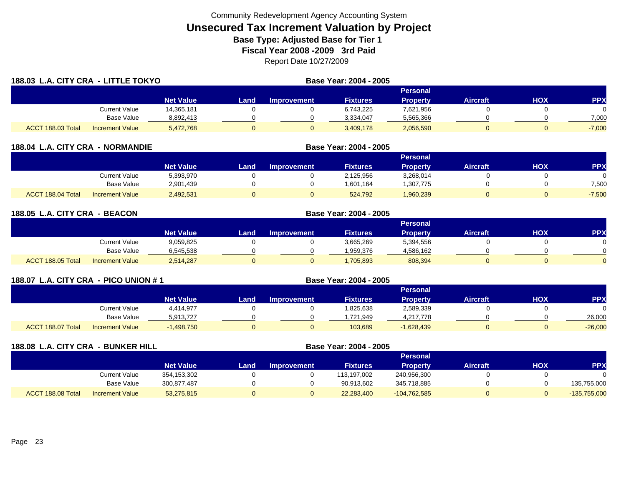| 188.03 L.A. CITY CRA - LITTLE TOKYO |                        |                  |      | Base Year: 2004 - 2005 |                 |                 |                 |     |            |
|-------------------------------------|------------------------|------------------|------|------------------------|-----------------|-----------------|-----------------|-----|------------|
|                                     |                        |                  |      |                        |                 | Personal        |                 |     |            |
|                                     |                        | <b>Net Value</b> | Land | <b>Improvement</b>     | <b>Fixtures</b> | <b>Property</b> | <b>Aircraft</b> | HOX | <b>PPX</b> |
|                                     | <b>Current Value</b>   | 14,365,181       |      |                        | 6,743,225       | 7,621,956       |                 |     |            |
|                                     | <b>Base Value</b>      | 8,892,413        |      |                        | 3,334,047       | 5,565,366       |                 |     | 7,000      |
| ACCT 188.03 Total                   | <b>Increment Value</b> | 5,472,768        |      |                        | 3,409,178       | 2,056,590       |                 |     | $-7,000$   |

|                   | <b>188.04 L.A. CITY CRA</b><br><b>- NORMANDIE</b> |                  |      |                    | Base Year: 2004 - 2005 |           |                 |     |            |  |  |
|-------------------|---------------------------------------------------|------------------|------|--------------------|------------------------|-----------|-----------------|-----|------------|--|--|
|                   |                                                   |                  |      |                    |                        | Personal  |                 |     |            |  |  |
|                   |                                                   | <b>Net Value</b> | Land | <b>Improvement</b> | <b>Fixtures</b>        | Property  | <b>Aircraft</b> | нох | <b>PPX</b> |  |  |
|                   | Current Value                                     | 5,393,970        |      |                    | 2,125,956              | 3,268,014 |                 |     |            |  |  |
|                   | Base Value                                        | 2,901,439        |      |                    | 1,601,164              | 1,307,775 |                 |     | 7,500      |  |  |
| ACCT 188.04 Total | <b>Increment Value</b>                            | 2,492,531        |      |                    | 524.792                | 1,960,239 |                 |     | $-7,500$   |  |  |

| 188.05 L.A. CITY CRA - BEACON |                        |                  | Base Year: 2004 - 2005 |                    |                 |                 |                 |     |            |  |
|-------------------------------|------------------------|------------------|------------------------|--------------------|-----------------|-----------------|-----------------|-----|------------|--|
|                               |                        |                  | Personal               |                    |                 |                 |                 |     |            |  |
|                               |                        | <b>Net Value</b> | Land                   | <b>Improvement</b> | <b>Fixtures</b> | <b>Property</b> | <b>Aircraft</b> | HOX | <b>PPX</b> |  |
|                               | <b>Current Value</b>   | 9,059,825        |                        |                    | 3,665,269       | 5,394,556       |                 |     |            |  |
|                               | <b>Base Value</b>      | 6,545,538        |                        |                    | 1,959,376       | 4,586,162       |                 |     | 0          |  |
| ACCT 188.05 Total             | <b>Increment Value</b> | 2,514,287        |                        |                    | 1,705,893       | 808,394         |                 |     | 0          |  |

| 188.07 L.A. CITY CRA - PICO UNION # 1 |                        |                  |      |                    |                 |                 |                 |     |            |
|---------------------------------------|------------------------|------------------|------|--------------------|-----------------|-----------------|-----------------|-----|------------|
|                                       |                        |                  |      |                    |                 | Personal        |                 |     |            |
|                                       |                        | <b>Net Value</b> | Land | <b>Improvement</b> | <b>Fixtures</b> | <b>Property</b> | <b>Aircraft</b> | нох | <b>PPX</b> |
|                                       | Current Value          | 4,414,977        |      |                    | 1,825,638       | 2,589,339       |                 |     |            |
|                                       | <b>Base Value</b>      | 5,913,727        |      |                    | ,721,949        | 4,217,778       |                 |     | 26,000     |
| ACCT 188.07 Total                     | <b>Increment Value</b> | $-1,498,750$     |      |                    | 103,689         | $-1,628,439$    |                 |     | $-26,000$  |

| 188.08 L.A. CITY CRA - BUNKER HILL |                        |                  |      | Base Year: 2004 - 2005 |                 |                 |                 |            |                |
|------------------------------------|------------------------|------------------|------|------------------------|-----------------|-----------------|-----------------|------------|----------------|
|                                    |                        |                  |      |                        |                 | <b>Personal</b> |                 |            |                |
|                                    |                        | <b>Net Value</b> | Land | <b>Improvement</b>     | <b>Fixtures</b> | <b>Property</b> | <b>Aircraft</b> | <b>HOX</b> | <b>PPX</b>     |
|                                    | <b>Current Value</b>   | 354,153,302      |      |                        | 113,197,002     | 240,956,300     |                 |            |                |
|                                    | Base Value             | 300,877,487      |      |                        | 90,913,602      | 345,718,885     |                 |            | 135,755,000    |
| ACCT 188.08 Total                  | <b>Increment Value</b> | 53,275,815       | ν    |                        | 22,283,400      | $-104,762,585$  |                 |            | $-135,755,000$ |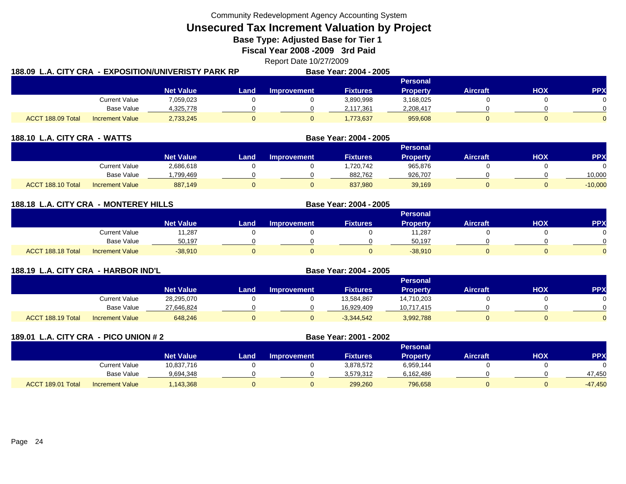Community Redevelopment Agency Accounting System

**Unsecured Tax Increment Valuation by Project**

**Base Type: Adjusted Base for Tier 1** 

**Fiscal Year 2008 -2009 3rd Paid**

Report Date 10/27/2009

| 188.09  L.A. CITY CRA  - EXPOSITION/UNIVERISTY PARK RP |                        |                  |      |             | <b>Base Year: 2004 - 2005</b> |                 |                 |     |            |
|--------------------------------------------------------|------------------------|------------------|------|-------------|-------------------------------|-----------------|-----------------|-----|------------|
|                                                        |                        |                  |      |             |                               | <b>Personal</b> |                 |     |            |
|                                                        |                        | <b>Net Value</b> | Land | Improvement | <b>Fixtures</b>               | <b>Property</b> | <b>Aircraft</b> | HOX | <b>PPX</b> |
|                                                        | <b>Current Value</b>   | 7,059,023        |      |             | 3,890,998                     | 3,168,025       |                 |     |            |
|                                                        | Base Value             | 4,325,778        |      |             | 2,117,361                     | 2,208,417       |                 |     |            |
| ACCT 188.09 Total                                      | <b>Increment Value</b> | 2,733,245        |      |             | ,773,637                      | 959,608         |                 |     |            |

| 188.10 L.A. CITY CRA - WATTS |                        |                  |      |                    | Base Year: 2004 - 2005 |                 |                 |     |            |
|------------------------------|------------------------|------------------|------|--------------------|------------------------|-----------------|-----------------|-----|------------|
|                              |                        |                  |      |                    |                        | <b>Personal</b> |                 |     |            |
|                              |                        | <b>Net Value</b> | Land | <b>Improvement</b> | <b>Fixtures</b>        | <b>Property</b> | <b>Aircraft</b> | нох | <b>PPX</b> |
|                              | Current Value          | 2,686,618        |      |                    | 1,720,742              | 965,876         |                 |     |            |
|                              | Base Value             | .799.469         |      |                    | 882,762                | 926,707         |                 |     | 10,000     |
| ACCT 188.10 Total            | <b>Increment Value</b> | 887.149          |      |                    | 837.980                | 39,169          |                 |     | $-10,000$  |

| 188.18 L.A. CITY CRA - MONTEREY HILLS |                        |                  |                | Base Year: 2004 - 2005 |                 |                 |                 |     |            |
|---------------------------------------|------------------------|------------------|----------------|------------------------|-----------------|-----------------|-----------------|-----|------------|
|                                       |                        |                  |                |                        |                 | Personal        |                 |     |            |
|                                       |                        | <b>Net Value</b> | Land           | <b>Improvement</b>     | <b>Fixtures</b> | <b>Property</b> | <b>Aircraft</b> | нох | <b>PPX</b> |
|                                       | <b>Current Value</b>   | 11,287           |                |                        |                 | 11,287          |                 |     |            |
|                                       | <b>Base Value</b>      | 50.197           |                |                        |                 | 50.197          |                 |     |            |
| ACCT 188.18 Total                     | <b>Increment Value</b> | $-38.910$        | $\overline{0}$ |                        |                 | $-38.910$       |                 |     |            |

| 188.19 L.A. CITY CRA - HARBOR IND'L |                        |                  |      | Base Year: 2004 - 2005 |                 |                 |                 |     |            |
|-------------------------------------|------------------------|------------------|------|------------------------|-----------------|-----------------|-----------------|-----|------------|
|                                     |                        |                  |      |                        |                 | Personal        |                 |     |            |
|                                     |                        | <b>Net Value</b> | Land | <b>Improvement</b>     | <b>Fixtures</b> | <b>Property</b> | <b>Aircraft</b> | нох | <b>PPX</b> |
|                                     | Current Value          | 28,295,070       |      |                        | 13,584,867      | 14,710,203      |                 |     |            |
|                                     | Base Value             | 27,646,824       |      |                        | 16.929.409      | 10,717,415      |                 |     |            |
| ACCT 188.19 Total                   | <b>Increment Value</b> | 648,246          |      |                        | $-3,344,542$    | 3,992,788       |                 |     |            |

| 189.01 L.A. CITY CRA - PICO UNION # 2 |                        |                  |      | Base Year: 2001 - 2002 |                 |                 |                 |     |            |
|---------------------------------------|------------------------|------------------|------|------------------------|-----------------|-----------------|-----------------|-----|------------|
|                                       |                        |                  |      |                        |                 | <b>Personal</b> |                 |     |            |
|                                       |                        | <b>Net Value</b> | Land | <b>Improvement</b>     | <b>Fixtures</b> | <b>Property</b> | <b>Aircraft</b> | нох | <b>PPX</b> |
|                                       | <b>Current Value</b>   | 10,837,716       |      |                        | 3,878,572       | 6,959,144       |                 |     |            |
|                                       | Base Value             | 9,694,348        |      |                        | 3,579,312       | 6,162,486       |                 |     | 47.450     |
| ACCT 189.01 Total                     | <b>Increment Value</b> | 143,368          | 0    |                        | 299,260         | 796,658         | 0               |     | $-47,450$  |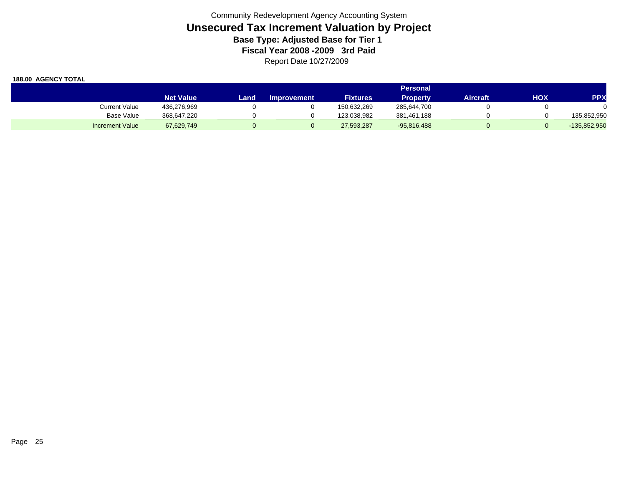|                        |                  |      |                    |                 | Personal        |          |     |                |
|------------------------|------------------|------|--------------------|-----------------|-----------------|----------|-----|----------------|
|                        | <b>Net Value</b> | Land | <b>Improvement</b> | <b>Fixtures</b> | <b>Property</b> | Aircraft | HOX | <b>PPX</b>     |
| <b>Current Value</b>   | 436,276,969      |      |                    | 150.632.269     | 285,644,700     |          |     |                |
| <b>Base Value</b>      | 368,647,220      |      |                    | 123.038.982     | 381,461,188     |          |     | 135,852,950    |
| <b>Increment Value</b> | 67,629,749       |      |                    | 27,593,287      | $-95,816,488$   |          |     | $-135,852,950$ |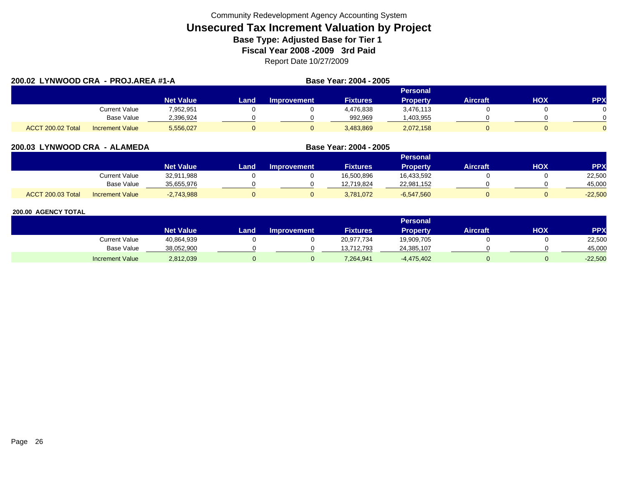|                   | 200.02 LYNWOOD CRA - PROJ.AREA #1-A |                  |      |                    | Base Year: 2004 - 2005 |                 |                 |     |            |
|-------------------|-------------------------------------|------------------|------|--------------------|------------------------|-----------------|-----------------|-----|------------|
|                   |                                     |                  |      |                    |                        | Personal        |                 |     |            |
|                   |                                     | <b>Net Value</b> | Land | <b>Improvement</b> | <b>Fixtures</b>        | <b>Property</b> | <b>Aircraft</b> | HOX | <b>PPX</b> |
|                   | Current Value                       | 7.952.951        |      |                    | 4,476,838              | 3,476,113       |                 |     |            |
|                   | Base Value                          | 2,396,924        |      |                    | 992.969                | ,403,955        |                 |     |            |
| ACCT 200.02 Total | <b>Increment Value</b>              | 5,556,027        |      |                    | 3,483,869              | 2,072,158       |                 |     | $\Omega$   |

#### **200.03 LYNWOOD CRA - ALAMEDA Base Year: 2004 - 2005 Personal Net Value Land Improvement Fixtures Property Aircraft HOX PPX** Current Value 32,911,988 0 0 16,500,896 16,433,592 0 0 22,500 Base Value 35,655,976 0 0 12,719,824 22,981,152 0 0 45,000 ACCT 200.03 TotalI Increment Value -2,743,988 0 0 3,781,072 -6,547,560 0 -22,500

|                        |                  |      |                    |                 | Personal        |                 |            |            |
|------------------------|------------------|------|--------------------|-----------------|-----------------|-----------------|------------|------------|
|                        | <b>Net Value</b> | Land | <b>Improvement</b> | <b>Fixtures</b> | <b>Property</b> | <b>Aircraft</b> | <b>XOH</b> | <b>PPX</b> |
| Current Value          | 40,864,939       |      |                    | 20,977,734      | 19,909,705      |                 |            | 22,500     |
| <b>Base Value</b>      | 38,052,900       |      |                    | 13,712,793      | 24,385,107      |                 |            | 45,000     |
| <b>Increment Value</b> | 2,812,039        |      |                    | 7,264,941       | $-4,475,402$    |                 |            | $-22,500$  |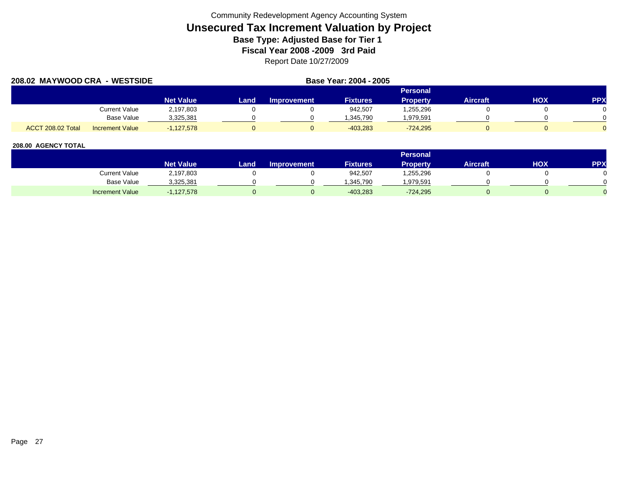| 208.02 MAYWOOD CRA - WESTSIDE |                        |                  |      | Base Year: 2004 - 2005 |                 |                 |                 |     |            |
|-------------------------------|------------------------|------------------|------|------------------------|-----------------|-----------------|-----------------|-----|------------|
|                               |                        |                  |      |                        |                 | <b>Personal</b> |                 |     |            |
|                               |                        | <b>Net Value</b> | Land | <b>Improvement</b>     | <b>Fixtures</b> | <b>Property</b> | <b>Aircraft</b> | HOX | <b>PPX</b> |
|                               | Current Value          | 2,197,803        |      |                        | 942,507         | .255,296        |                 |     |            |
|                               | <b>Base Value</b>      | 3,325,381        |      |                        | 1,345,790       | 1,979,591       |                 |     |            |
| ACCT 208.02 Total             | <b>Increment Value</b> | $-1.127.578$     |      |                        | $-403.283$      | $-724.295$      |                 |     |            |

|                        |                  |       |                    |                 | <b>Personal</b> |                 |     |     |
|------------------------|------------------|-------|--------------------|-----------------|-----------------|-----------------|-----|-----|
|                        | <b>Net Value</b> | Land. | <b>Improvement</b> | <b>Fixtures</b> | <b>Property</b> | <b>Aircraft</b> | HOX | PPX |
| <b>Current Value</b>   | 2,197,803        |       |                    | 942,507         | .255,296        |                 |     |     |
| <b>Base Value</b>      | 3,325,381        |       |                    | .345.790        | ,979,591        |                 |     |     |
| <b>Increment Value</b> | $-1,127,578$     |       |                    | $-403,283$      | $-724,295$      |                 |     |     |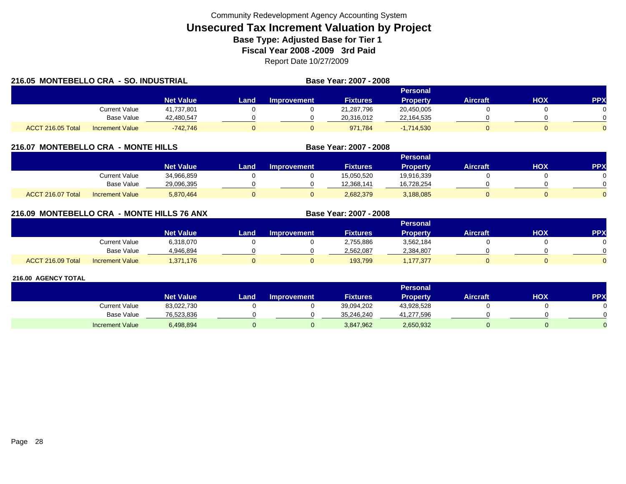| 216.05 MONTEBELLO CRA - SO. INDUSTRIAL |                        |                  |       | Base Year: 2007 - 2008 |                 |                 |          |     |            |
|----------------------------------------|------------------------|------------------|-------|------------------------|-----------------|-----------------|----------|-----|------------|
|                                        |                        |                  |       |                        |                 | Personal        |          |     |            |
|                                        |                        | <b>Net Value</b> | Land. | Improvement            | <b>Fixtures</b> | <b>Property</b> | Aircraft | HOX | <b>PPX</b> |
|                                        | <b>Current Value</b>   | 41,737,801       |       |                        | 21,287,796      | 20,450,005      |          |     |            |
|                                        | Base Value             | 42,480,547       |       |                        | 20,316,012      | 22,164,535      |          |     |            |
| ACCT 216.05 Total                      | <b>Increment Value</b> | $-742.746$       |       |                        | 971.784         | $-1,714,530$    |          |     |            |

# **216.07 MONTEBELLO CRA - MONTE HILLS**

|                   |                        |                  |      |                    |                 | <b>Personal</b> |                 |            |          |
|-------------------|------------------------|------------------|------|--------------------|-----------------|-----------------|-----------------|------------|----------|
|                   |                        | <b>Net Value</b> | Land | <b>Improvement</b> | <b>Fixtures</b> | <b>Property</b> | <b>Aircraft</b> | <b>HOX</b> | PPX      |
|                   | Current Value          | 34,966,859       |      |                    | 15,050,520      | 19,916,339      |                 |            |          |
|                   | <b>Base Value</b>      | 29,096,395       |      |                    | 12,368,141      | 16,728,254      |                 |            | 0        |
| ACCT 216.07 Total | <b>Increment Value</b> | 5,870,464        |      |                    | 2,682,379       | 3,188,085       |                 |            | $\Omega$ |

**Base Year: 2007 - 2008**

**Base Year: 2007 - 2008**

# **216.09 MONTEBELLO CRA - MONTE HILLS 76 ANX**

|                   |                        |                  |      |                    |                 | Personal  |                 |            |            |
|-------------------|------------------------|------------------|------|--------------------|-----------------|-----------|-----------------|------------|------------|
|                   |                        | <b>Net Value</b> | Land | <b>Improvement</b> | <b>Fixtures</b> | Property  | <b>Aircraft</b> | <b>XOH</b> | <b>PPX</b> |
|                   | <b>Current Value</b>   | 6,318,070        |      |                    | 2,755,886       | 3,562,184 |                 |            |            |
|                   | <b>Base Value</b>      | 4.946.894        |      |                    | 2,562,087       | 2,384,807 |                 |            | ∩          |
| ACCT 216.09 Total | <b>Increment Value</b> | 1,371,176        |      |                    | 193,799         | ,177,377  |                 |            | $\Omega$   |

|                        |                  |      |                    |                 | <b>Personal</b> |                 |            |     |
|------------------------|------------------|------|--------------------|-----------------|-----------------|-----------------|------------|-----|
|                        | <b>Net Value</b> | Land | <b>Improvement</b> | <b>Fixtures</b> | Property        | <b>Aircraft</b> | <b>HOX</b> | PPX |
| Current Value          | 83,022,730       |      |                    | 39,094,202      | 43,928,528      |                 |            |     |
| Base Value             | 76,523,836       |      |                    | 35,246,240      | 41,277,596      |                 |            |     |
| <b>Increment Value</b> | 6,498,894        |      |                    | 3,847,962       | 2,650,932       |                 |            |     |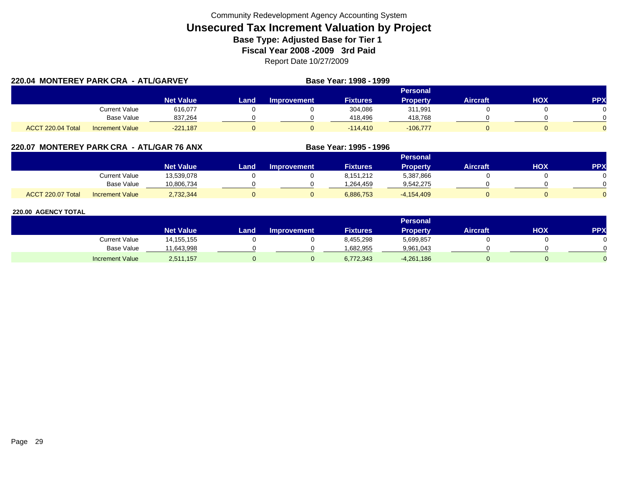| 220.04 MONTEREY PARK CRA - ATL/GARVEY |                        |                  |      | Base Year: 1998 - 1999 |                 |                 |                 |     |            |
|---------------------------------------|------------------------|------------------|------|------------------------|-----------------|-----------------|-----------------|-----|------------|
|                                       |                        |                  |      |                        |                 | Personal        |                 |     |            |
|                                       |                        | <b>Net Value</b> | Land | <b>Improvement</b>     | <b>Fixtures</b> | <b>Property</b> | <b>Aircraft</b> | HOX | <b>PPX</b> |
|                                       | Current Value          | 616,077          |      |                        | 304,086         | 311,991         |                 |     |            |
|                                       | Base Value             | 837,264          |      |                        | 418,496         | 418,768         |                 |     |            |
| ACCT 220.04 Total                     | <b>Increment Value</b> | $-221,187$       |      |                        | $-114.410$      | $-106,777$      |                 |     |            |

# **220.07 MONTEREY PARK CRA - ATL/GAR 76 ANX**

|                   |                        |                  |      |             |                 | Personal        |          |     |     |
|-------------------|------------------------|------------------|------|-------------|-----------------|-----------------|----------|-----|-----|
|                   |                        | <b>Net Value</b> | Land | Improvement | <b>Fixtures</b> | <b>Property</b> | Aircraft | нох | PPX |
|                   | Current Value          | 13,539,078       |      |             | 8.151.212       | 5,387,866       |          |     |     |
|                   | <b>Base Value</b>      | 10,806,734       |      |             | 264,459. ا      | 9,542,275       |          |     |     |
| ACCT 220.07 Total | <b>Increment Value</b> | 2,732,344        |      |             | 6,886,753       | $-4,154,409$    |          |     |     |

**Base Year: 1995 - 1996**

|                        |                    |      |                    |                 | Personal        |                 |     |           |
|------------------------|--------------------|------|--------------------|-----------------|-----------------|-----------------|-----|-----------|
|                        | Net Value <b>'</b> | Land | <b>Improvement</b> | <b>Fixtures</b> | <b>Property</b> | <b>Aircraft</b> | нох | <b>PP</b> |
| <b>Current Value</b>   | 14,155,155         |      |                    | 8,455,298       | 5,699,857       |                 |     |           |
| <b>Base Value</b>      | 1,643,998          |      |                    | .682.955        | 9,961,043       |                 |     |           |
| <b>Increment Value</b> | 2,511,157          |      |                    | 6,772,343       | $-4,261,186$    |                 |     |           |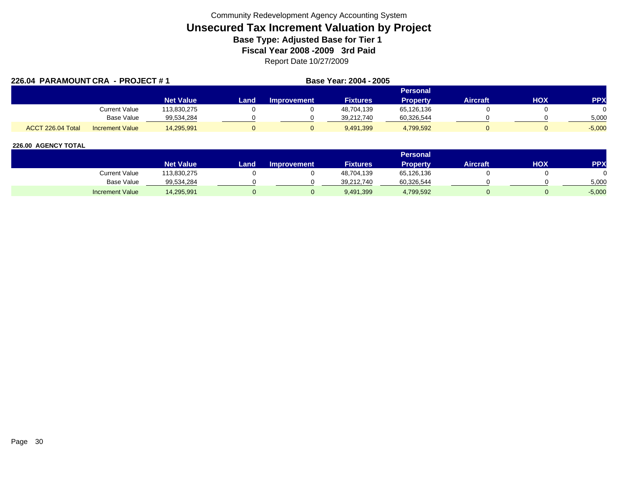| 226.04 PARAMOUNT CRA - PROJECT #1 |                        |                  |      |                    | Base Year: 2004 - 2005 |                 |                 |     |            |
|-----------------------------------|------------------------|------------------|------|--------------------|------------------------|-----------------|-----------------|-----|------------|
|                                   |                        |                  |      |                    |                        | Personal        |                 |     |            |
|                                   |                        | <b>Net Value</b> | Land | <b>Improvement</b> | <b>Fixtures</b>        | <b>Property</b> | <b>Aircraft</b> | HOX | <b>PPX</b> |
|                                   | <b>Current Value</b>   | 113,830,275      |      |                    | 48,704,139             | 65,126,136      |                 |     |            |
|                                   | <b>Base Value</b>      | 99,534,284       |      |                    | 39.212.740             | 60,326,544      |                 |     | 5,000      |
| ACCT 226.04 Total                 | <b>Increment Value</b> | 14,295,991       |      |                    | 9.491.399              | 4,799,592       |                 |     | $-5,000$   |

|                        |                  |      |                    |                 | <b>Personal</b> |                 |            |            |
|------------------------|------------------|------|--------------------|-----------------|-----------------|-----------------|------------|------------|
|                        | <b>Net Value</b> | Land | <b>Improvement</b> | <b>Fixtures</b> | Property        | <b>Aircraft</b> | <b>HOX</b> | <b>PPY</b> |
| Current Value          | 113,830,275      |      |                    | 48,704,139      | 65,126,136      |                 |            |            |
| <b>Base Value</b>      | 99,534,284       |      |                    | 39,212,740      | 60,326,544      |                 |            | 5,000      |
| <b>Increment Value</b> | 14,295,991       |      |                    | 9,491,399       | 4,799,592       |                 |            | $-5,000$   |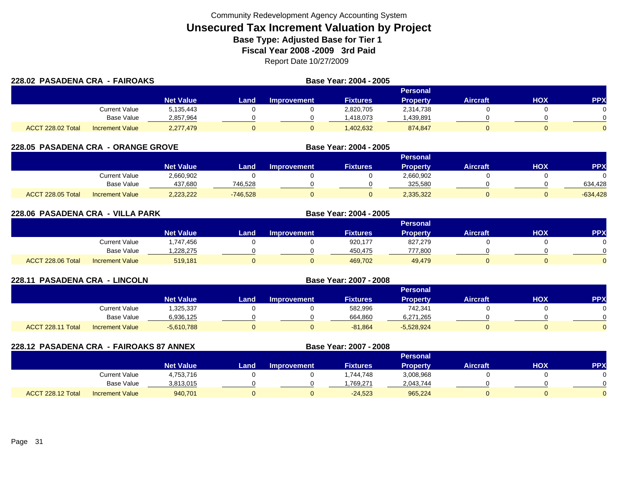|                   | 228.02 PASADENA CRA - FAIROAKS |                  |      |                    | Base Year: 2004 - 2005 |                 |                 |     |            |
|-------------------|--------------------------------|------------------|------|--------------------|------------------------|-----------------|-----------------|-----|------------|
|                   |                                |                  |      |                    |                        | Personal        |                 |     |            |
|                   |                                | <b>Net Value</b> | Land | <b>Improvement</b> | <b>Fixtures</b>        | <b>Property</b> | <b>Aircraft</b> | HOX | <b>PPX</b> |
|                   | Current Value                  | 5,135,443        |      |                    | 2,820,705              | 2,314,738       |                 |     |            |
|                   | Base Value                     | 2,857,964        |      |                    | .418.073               | .439,891        |                 |     |            |
| ACCT 228.02 Total | <b>Increment Value</b>         | 2,277,479        |      |                    | ,402,632               | 874,847         |                 |     | $\Omega$   |

# **228.05 PASADENA CRA - ORANGE GROVE**

|                   |                        |                  |            |                    |                 | <b>Personal</b> |                 |            |            |
|-------------------|------------------------|------------------|------------|--------------------|-----------------|-----------------|-----------------|------------|------------|
|                   |                        | <b>Net Value</b> | Land       | <b>Improvement</b> | <b>Fixtures</b> | Propertv        | <b>Aircraft</b> | <b>HOX</b> | PPX        |
|                   | Current Value          | 2,660,902        |            |                    |                 | 2,660,902       |                 |            |            |
|                   | <b>Base Value</b>      | 437.680          | 746.528    |                    |                 | 325.580         |                 |            | 634.428    |
| ACCT 228.05 Total | <b>Increment Value</b> | 2,223,222        | $-746,528$ |                    |                 | 2,335,322       |                 |            | $-634,428$ |

**Base Year: 2004 - 2005**

| 228.06 PASADENA CRA - VILLA PARK |                        |                  |       |                    |                 |                 |                 |            |            |
|----------------------------------|------------------------|------------------|-------|--------------------|-----------------|-----------------|-----------------|------------|------------|
|                                  |                        |                  |       |                    |                 | Personal        |                 |            |            |
|                                  |                        | <b>Net Value</b> | Land. | <b>Improvement</b> | <b>Fixtures</b> | <b>Property</b> | <b>Aircraft</b> | <b>HOX</b> | <b>PPX</b> |
|                                  | <b>Current Value</b>   | 1,747,456        |       |                    | 920,177         | 827.279         |                 |            | 0          |
|                                  | Base Value             | 1,228,275        |       |                    | 450.475         | 777,800         |                 |            | $\Omega$   |
| ACCT 228.06 Total                | <b>Increment Value</b> | 519,181          |       |                    | 469,702         | 49.479          |                 |            | $\Omega$   |

| 228.11 PASADENA CRA - LINCOLN |                        |                  | Base Year: 2007 - 2008 |                    |                 |                 |                 |            |            |
|-------------------------------|------------------------|------------------|------------------------|--------------------|-----------------|-----------------|-----------------|------------|------------|
|                               |                        |                  |                        |                    |                 | <b>Personal</b> |                 |            |            |
|                               |                        | <b>Net Value</b> | Land                   | <b>Improvement</b> | <b>Fixtures</b> | <b>Property</b> | <b>Aircraft</b> | <b>HOX</b> | <b>PPX</b> |
|                               | <b>Current Value</b>   | ,325,337         |                        |                    | 582,996         | 742,341         |                 |            |            |
|                               | Base Value             | 6,936,125        |                        |                    | 664,860         | 6,271,265       |                 |            |            |
| ACCT 228.11 Total             | <b>Increment Value</b> | $-5,610,788$     |                        |                    | $-81,864$       | $-5,528,924$    |                 |            |            |

|                   | 228.12 PASADENA CRA - FAIROAKS 87 ANNEX |                  |      |                    |                 |                 |                 |     |           |
|-------------------|-----------------------------------------|------------------|------|--------------------|-----------------|-----------------|-----------------|-----|-----------|
|                   |                                         |                  |      |                    |                 | <b>Personal</b> |                 |     |           |
|                   |                                         | <b>Net Value</b> | Land | <b>Improvement</b> | <b>Fixtures</b> | <b>Property</b> | <b>Aircraft</b> | нох | <b>PP</b> |
|                   | Current Value                           | 4,753,716        |      |                    | 1.744.748       | 3,008,968       |                 |     |           |
|                   | Base Value                              | 3,813,015        |      |                    | .769.271        | 2,043,744       |                 |     |           |
| ACCT 228.12 Total | <b>Increment Value</b>                  | 940,701          |      |                    | $-24,523$       | 965.224         |                 |     |           |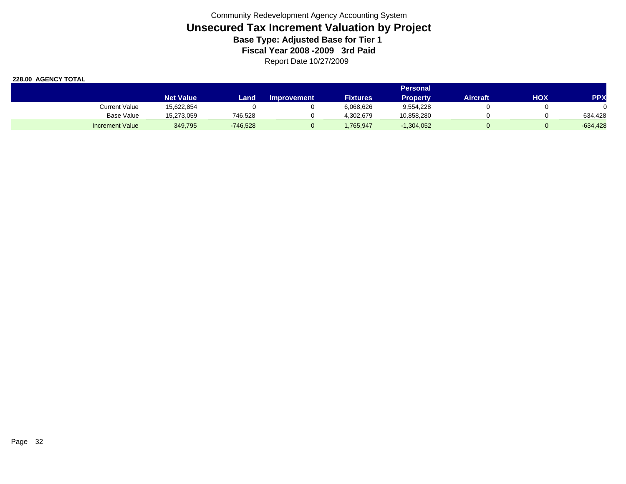|                        |                  |            |                    |                 | <b>Personal</b> |          |     |            |
|------------------------|------------------|------------|--------------------|-----------------|-----------------|----------|-----|------------|
|                        | <b>Net Value</b> | Land       | <b>Improvement</b> | <b>Fixtures</b> | Propertv        | Aircraft | нох | <b>PPX</b> |
| Current Value          | 15,622,854       |            |                    | 6,068,626       | 9,554,228       |          |     |            |
| Base Value             | 15,273,059       | 746.528    |                    | 1.302.679       | 10,858,280      |          |     | 634.428    |
| <b>Increment Value</b> | 349.795          | $-746,528$ |                    | ,765,947        | $-1,304,052$    |          |     | $-634,428$ |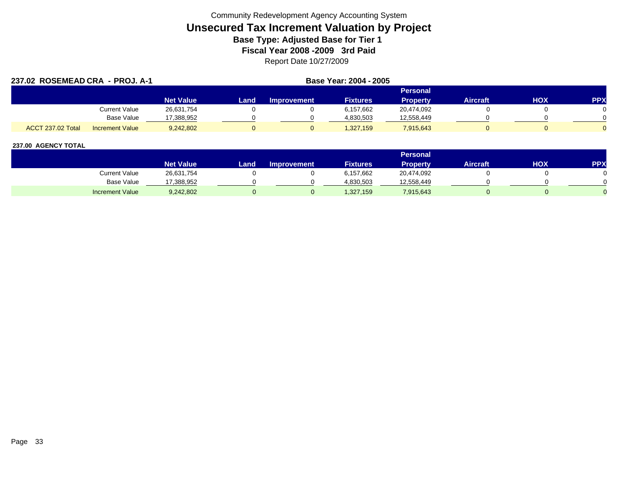| 237.02 ROSEMEAD CRA - PROJ. A-1 |                        |                  |      | Base Year: 2004 - 2005 |                 |                 |                 |     |            |
|---------------------------------|------------------------|------------------|------|------------------------|-----------------|-----------------|-----------------|-----|------------|
|                                 |                        |                  |      |                        |                 | <b>Personal</b> |                 |     |            |
|                                 |                        | <b>Net Value</b> | Land | <b>Improvement</b>     | <b>Fixtures</b> | <b>Property</b> | <b>Aircraft</b> | HOX | <b>PPX</b> |
|                                 | <b>Current Value</b>   | 26,631,754       |      |                        | 6,157,662       | 20,474,092      |                 |     |            |
|                                 | Base Value             | 17,388,952       |      |                        | 4,830,503       | 12,558,449      |                 |     |            |
| <b>ACCT 237.02 Total</b>        | <b>Increment Value</b> | 9,242,802        |      |                        | 1,327,159       | 7,915,643       |                 |     |            |

|                        |                  |       |                    |                 | <b>Personal</b> |                 |            |     |
|------------------------|------------------|-------|--------------------|-----------------|-----------------|-----------------|------------|-----|
|                        | <b>Net Value</b> | Land. | <b>Improvement</b> | <b>Fixtures</b> | Property        | <b>Aircraft</b> | <b>HOX</b> | PPX |
| <b>Current Value</b>   | 26,631,754       |       |                    | 6,157,662       | 20,474,092      |                 |            |     |
| <b>Base Value</b>      | 17,388,952       |       |                    | 4,830,503       | 12,558,449      |                 |            |     |
| <b>Increment Value</b> | 9,242,802        |       |                    | 1,327,159       | 7,915,643       |                 |            |     |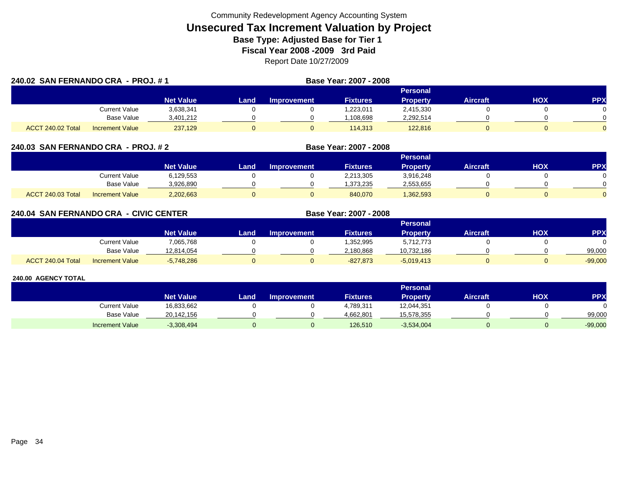|                   | 240.02 SAN FERNANDO CRA - PROJ. #1 |                  |      |                    | Base Year: 2007 - 2008 |                 |                 |     |            |
|-------------------|------------------------------------|------------------|------|--------------------|------------------------|-----------------|-----------------|-----|------------|
|                   |                                    |                  |      |                    |                        | Personal        |                 |     |            |
|                   |                                    | <b>Net Value</b> | Land | <b>Improvement</b> | <b>Fixtures</b>        | <b>Property</b> | <b>Aircraft</b> | нох | <b>PPX</b> |
|                   | Current Value                      | 3,638,341        |      |                    | 1,223,011              | 2,415,330       |                 |     |            |
|                   | Base Value                         | 3,401,212        |      |                    | ,108,698               | 2,292,514       |                 |     |            |
| ACCT 240.02 Total | <b>Increment Value</b>             | 237,129          |      |                    | 114.313                | 122,816         |                 |     |            |

### **240.03 SAN FERNANDO CRA - PROJ. # 2 Base Year: 2007 - 2008**

|                                             |                  |      |                    |                 | Personal        |                 |     |     |
|---------------------------------------------|------------------|------|--------------------|-----------------|-----------------|-----------------|-----|-----|
|                                             | <b>Net Value</b> | Land | <b>Improvement</b> | <b>Fixtures</b> | <b>Property</b> | <b>Aircraft</b> | нох | PPX |
| <b>Current Value</b>                        | 6,129,553        |      |                    | 2,213,305       | 3,916,248       |                 |     |     |
| <b>Base Value</b>                           | 3,926,890        |      |                    | 1,373,235       | 2,553,655       |                 |     |     |
| ACCT 240.03 Total<br><b>Increment Value</b> | 2,202,663        |      |                    | 840,070         | ,362,593        |                 |     |     |

# **240.04 SAN FERNANDO CRA - CIVIC CENTER**

|                   |                        |                  |      |                    |                 | Personal     |                 |            |           |
|-------------------|------------------------|------------------|------|--------------------|-----------------|--------------|-----------------|------------|-----------|
|                   |                        | <b>Net Value</b> | Land | <b>Improvement</b> | <b>Fixtures</b> | Property     | <b>Aircraft</b> | <b>HOX</b> | PPX       |
|                   | Current Value          | 7,065,768        |      |                    | 352,995.        | 5,712,773    |                 |            | 0         |
|                   | <b>Base Value</b>      | 12.814.054       |      |                    | 2,180,868       | 10,732,186   |                 |            | 99,000    |
| ACCT 240.04 Total | <b>Increment Value</b> | $-5,748,286$     |      |                    | $-827,873$      | $-5,019,413$ |                 |            | $-99,000$ |

**Base Year: 2007 - 2008**

|                        |                  |      |                    |                 | Personal        |                 |     |            |
|------------------------|------------------|------|--------------------|-----------------|-----------------|-----------------|-----|------------|
|                        | <b>Net Value</b> | Land | <b>Improvement</b> | <b>Fixtures</b> | <b>Property</b> | <b>Aircraft</b> | нох | <b>PPX</b> |
| Current Value          | 16,833,662       |      |                    | 4,789,311       | 12,044,351      |                 |     |            |
| <b>Base Value</b>      | 20,142,156       |      |                    | 4.662.801       | 15,578,355      |                 |     | 99,000     |
| <b>Increment Value</b> | $-3,308,494$     |      |                    | 126,510         | $-3,534,004$    |                 |     | $-99,000$  |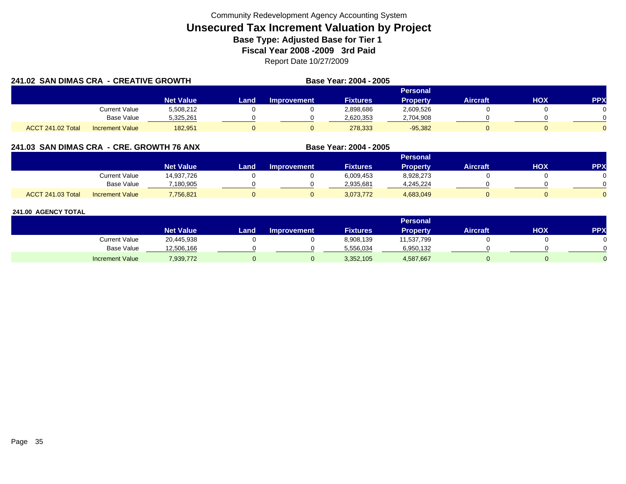| 241.02 SAN DIMAS CRA - CREATIVE GROWTH |                        |                  | Base Year: 2004 - 2005 |                    |                 |                 |                 |     |     |
|----------------------------------------|------------------------|------------------|------------------------|--------------------|-----------------|-----------------|-----------------|-----|-----|
|                                        |                        |                  |                        |                    |                 | Personal        |                 |     |     |
|                                        |                        | <b>Net Value</b> | Land                   | <b>Improvement</b> | <b>Fixtures</b> | <b>Property</b> | <b>Aircraft</b> | нох | PPX |
|                                        | Current Value          | 5,508,212        |                        |                    | 2,898,686       | 2,609,526       |                 |     |     |
|                                        | Base Value             | 5,325,261        |                        |                    | 2,620,353       | 2,704,908       |                 |     |     |
| ACCT 241.02 Total                      | <b>Increment Value</b> | 182,951          |                        |                    | 278,333         | $-95,382$       |                 |     |     |

# **241.03 SAN DIMAS CRA - CRE. GROWTH 76 ANX**

|                          |                        |                  |      |                    |                 | Personal        |          |     |     |
|--------------------------|------------------------|------------------|------|--------------------|-----------------|-----------------|----------|-----|-----|
|                          |                        | <b>Net Value</b> | Land | <b>Improvement</b> | <b>Fixtures</b> | <b>Property</b> | Aircraft | ΗΟΧ | PPX |
|                          | <b>Current Value</b>   | 14,937,726       |      |                    | 6,009,453       | 8,928,273       |          |     |     |
|                          | <b>Base Value</b>      | 7,180,905        |      |                    | 2,935,681       | 4,245,224       |          |     |     |
| <b>ACCT 241.03 Total</b> | <b>Increment Value</b> | 7,756,821        |      |                    | 3,073,772       | 4,683,049       |          |     |     |

**Base Year: 2004 - 2005**

|                        |                  |      |                    |                 | <b>Personal</b> |                 |     |           |
|------------------------|------------------|------|--------------------|-----------------|-----------------|-----------------|-----|-----------|
|                        | <b>Net Value</b> | Land | <b>Improvement</b> | <b>Fixtures</b> | <b>Property</b> | <b>Aircraft</b> | нох | <b>PP</b> |
| Current Value          | 20,445,938       |      |                    | 8,908,139       | 11,537,799      |                 |     |           |
| <b>Base Value</b>      | 12,506,166       |      |                    | 5,556,034       | 6,950,132       |                 |     |           |
| <b>Increment Value</b> | ,939,772         |      |                    | 3,352,105       | 4,587,667       |                 |     |           |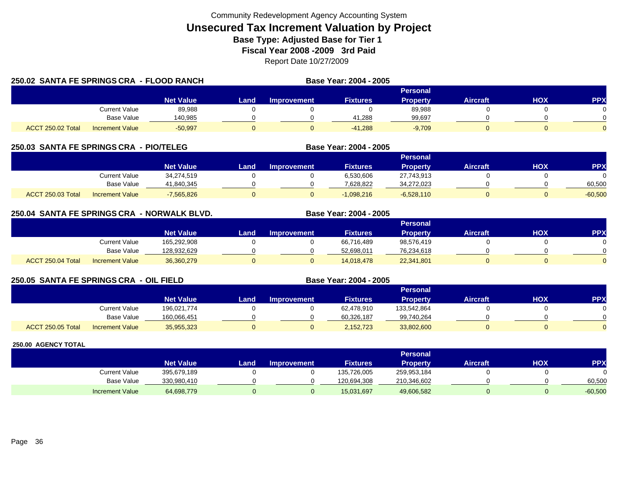| 250.02 SANTA FE SPRINGS CRA - FLOOD RANCH |                        |                  | Base Year: 2004 - 2005 |                    |                 |                 |                 |            |            |
|-------------------------------------------|------------------------|------------------|------------------------|--------------------|-----------------|-----------------|-----------------|------------|------------|
|                                           |                        |                  |                        |                    |                 | <b>Personal</b> |                 |            |            |
|                                           |                        | <b>Net Value</b> | Land.                  | <b>Improvement</b> | <b>Fixtures</b> | <b>Property</b> | <b>Aircraft</b> | <b>HOX</b> | <b>PPX</b> |
|                                           | Current Value          | 89.988           |                        |                    |                 | 89,988          |                 |            |            |
|                                           | Base Value             | 140,985          |                        |                    | 41.288          | 99,697          |                 |            |            |
| ACCT 250.02 Total                         | <b>Increment Value</b> | $-50.997$        |                        |                    | $-41.288$       | $-9.709$        |                 |            |            |

# **250.03 SANTA FE SPRINGS CRA - PIO/TELEG**

|                          |                        |                  |      |                    |                 | Personal     |                 |     |            |
|--------------------------|------------------------|------------------|------|--------------------|-----------------|--------------|-----------------|-----|------------|
|                          |                        | <b>Net Value</b> | Land | <b>Improvement</b> | <b>Fixtures</b> | Property     | <b>Aircraft</b> | нох | <b>PPX</b> |
|                          | Current Value          | 34,274,519       |      |                    | 6,530,606       | 27,743,913   |                 |     |            |
|                          | <b>Base Value</b>      | 41,840,345       |      |                    | 7,628,822       | 34,272,023   |                 |     | 60,500     |
| <b>ACCT 250.03 Total</b> | <b>Increment Value</b> | 7,565,826        |      |                    | $-1.098.216$    | $-6,528,110$ |                 |     | $-60,500$  |

**Base Year: 2004 - 2005**

**Base Year: 2004 - 2005**

# **250.04 SANTA FE SPRINGS CRA - NORWALK BLVD. Base Year: 2004 - 2005**

|                   |                        |                  |      |                    |                 | Personal        |                 |            |            |
|-------------------|------------------------|------------------|------|--------------------|-----------------|-----------------|-----------------|------------|------------|
|                   |                        | <b>Net Value</b> | Land | <b>Improvement</b> | <b>Fixtures</b> | <b>Property</b> | <b>Aircraft</b> | <b>HOX</b> | <b>PPX</b> |
|                   | Current Value          | 165,292,908      |      |                    | 66,716,489      | 98,576,419      |                 |            |            |
|                   | <b>Base Value</b>      | 128,932,629      |      |                    | 52.698.011      | 76,234,618      |                 |            | 0          |
| ACCT 250.04 Total | <b>Increment Value</b> | 36,360,279       |      |                    | 14,018,478      | 22,341,801      |                 |            | $\Omega$   |

# **250.05 SANTA FE SPRINGS CRA - OIL FIELD**

|                          |                        |                  |       |             |                 | Personal        |          |            |              |
|--------------------------|------------------------|------------------|-------|-------------|-----------------|-----------------|----------|------------|--------------|
|                          |                        | <b>Net Value</b> | Landı | Improvement | <b>Fixtures</b> | <b>Property</b> | Aircraft | <b>HOX</b> | <b>PPX</b>   |
|                          | Current Value          | 196.021.774      |       |             | 62,478,910      | 133,542,864     |          |            | 0            |
|                          | <b>Base Value</b>      | 160,066,451      |       |             | 60.326.187      | 99,740,264      |          |            | <sup>n</sup> |
| <b>ACCT 250.05 Total</b> | <b>Increment Value</b> | 35,955,323       |       |             | 2,152,723       | 33,802,600      |          |            | $\Omega$     |

|                        |                  |      |                    |                 | Personal    |                 |     |           |
|------------------------|------------------|------|--------------------|-----------------|-------------|-----------------|-----|-----------|
|                        | <b>Net Value</b> | Land | <b>Improvement</b> | <b>Fixtures</b> | Property    | <b>Aircraft</b> | нох | PPX       |
| Current Value          | 395,679,189      |      |                    | 135,726,005     | 259,953,184 |                 |     |           |
| <b>Base Value</b>      | 330,980,410      |      |                    | 120,694,308     | 210,346,602 |                 |     | 60,500    |
| <b>Increment Value</b> | 64,698,779       |      |                    | 15,031,697      | 49,606,582  |                 |     | $-60,500$ |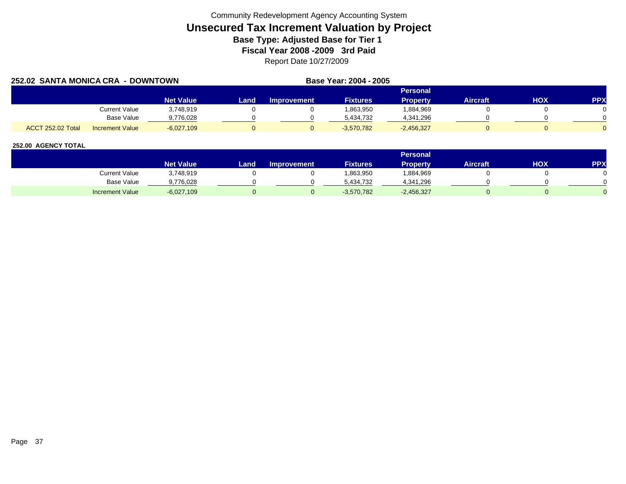| 252.02 SANTA MONICA CRA - DOWNTOWN |                        |                  |      |             | Base Year: 2004 - 2005 |                 |                 |            |            |
|------------------------------------|------------------------|------------------|------|-------------|------------------------|-----------------|-----------------|------------|------------|
|                                    |                        |                  |      |             |                        | Personal        |                 |            |            |
|                                    |                        | <b>Net Value</b> | Land | Improvement | <b>Fixtures</b>        | <b>Property</b> | <b>Aircraft</b> | <b>HOX</b> | <b>PPX</b> |
|                                    | Current Value          | 3,748,919        |      |             | 1,863,950              | 1,884,969       |                 |            |            |
|                                    | Base Value             | 9.776.028        |      |             | 5.434.732              | 4,341,296       |                 |            |            |
| <b>ACCT 252.02 Total</b>           | <b>Increment Value</b> | $-6.027.109$     |      |             | $-3.570.782$           | $-2,456,327$    |                 |            |            |

|                        |                        |       |                    |                 | <b>Personal</b> |                 |     |     |
|------------------------|------------------------|-------|--------------------|-----------------|-----------------|-----------------|-----|-----|
|                        | Net Value <sup>1</sup> | Land, | <b>Improvement</b> | <b>Fixtures</b> | Property        | <b>Aircraft</b> | HOX | PPX |
| Current Value          | 3,748,919              |       |                    | .863,950        | 884,969         |                 |     |     |
| Base Value             | 9,776,028              |       |                    | 5,434,732       | 4,341,296       |                 |     |     |
| <b>Increment Value</b> | $-6,027,109$           |       |                    | $-3,570,782$    | $-2,456,327$    |                 |     |     |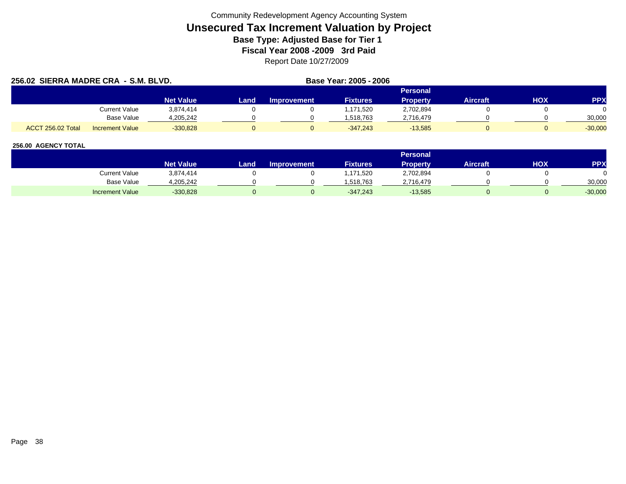| 256.02 SIERRA MADRE CRA - S.M. BLVD. |                        |                  |      |                    | Base Year: 2005 - 2006 |                 |                 |     |            |
|--------------------------------------|------------------------|------------------|------|--------------------|------------------------|-----------------|-----------------|-----|------------|
|                                      |                        |                  |      |                    |                        | Personal        |                 |     |            |
|                                      |                        | <b>Net Value</b> | Land | <b>Improvement</b> | <b>Fixtures</b>        | <b>Property</b> | <b>Aircraft</b> | HOX | <b>PPX</b> |
|                                      | Current Value          | 3,874,414        |      |                    | ,171,520               | 2,702,894       |                 |     |            |
|                                      | Base Value             | 4,205,242        |      |                    | 1,518,763              | 2,716,479       |                 |     | 30,000     |
| ACCT 256.02 Total                    | <b>Increment Value</b> | $-330,828$       |      |                    | $-347.243$             | $-13,585$       |                 |     | $-30,000$  |

|                        |                    |      |                    |                 | <b>Personal</b> |                 |            |           |
|------------------------|--------------------|------|--------------------|-----------------|-----------------|-----------------|------------|-----------|
|                        | Net Value <b>\</b> | Land | <b>Improvement</b> | <b>Fixtures</b> | <b>Property</b> | <b>Aircraft</b> | <b>HOX</b> | PPX       |
| Current Value          | 3,874,414          |      |                    | .171,520        | 2,702,894       |                 |            |           |
| <b>Base Value</b>      | 4,205,242          |      |                    | .518.763        | 2.716.479       |                 |            | 30,000    |
| <b>Increment Value</b> | $-330,828$         |      |                    | $-347.243$      | $-13,585$       |                 |            | $-30,000$ |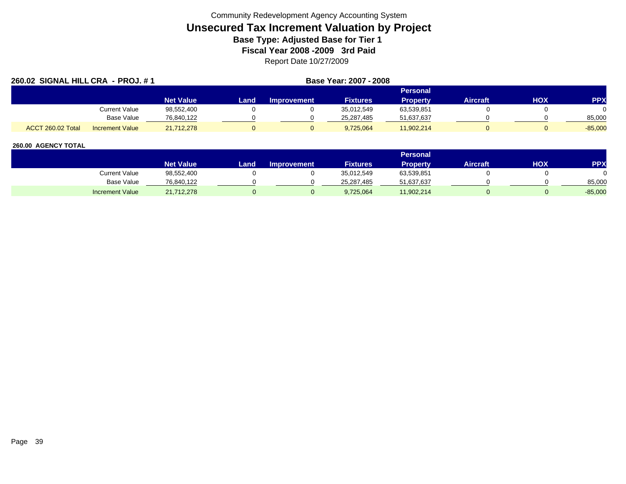| 260.02 SIGNAL HILL CRA - PROJ. # 1 |                        |                  |      | Base Year: 2007 - 2008 |                 |                 |                 |     |            |
|------------------------------------|------------------------|------------------|------|------------------------|-----------------|-----------------|-----------------|-----|------------|
|                                    |                        |                  |      |                        |                 | Personal        |                 |     |            |
|                                    |                        | <b>Net Value</b> | Land | <b>Improvement</b>     | <b>Fixtures</b> | <b>Property</b> | <b>Aircraft</b> | HOX | <b>PPX</b> |
|                                    | Current Value          | 98,552,400       |      |                        | 35,012,549      | 63,539,851      |                 |     |            |
|                                    | <b>Base Value</b>      | 76,840,122       |      |                        | 25,287,485      | 51,637,637      |                 |     | 85,000     |
| ACCT 260.02 Total                  | <b>Increment Value</b> | 21,712,278       |      |                        | 9,725,064       | 11,902,214      |                 |     | $-85,000$  |

|                        |                  |       |                    |                 | <b>Personal</b> |                 |            |           |
|------------------------|------------------|-------|--------------------|-----------------|-----------------|-----------------|------------|-----------|
|                        | <b>Net Value</b> | Land. | <b>Improvement</b> | <b>Fixtures</b> | <b>Property</b> | <b>Aircraft</b> | <b>HOX</b> | PPX       |
| <b>Current Value</b>   | 98,552,400       |       |                    | 35,012,549      | 63,539,851      |                 |            |           |
| <b>Base Value</b>      | 76,840,122       |       |                    | 25,287,485      | 51,637,637      |                 |            | 85,000    |
| <b>Increment Value</b> | 21,712,278       |       |                    | 9,725,064       | 11,902,214      |                 |            | $-85,000$ |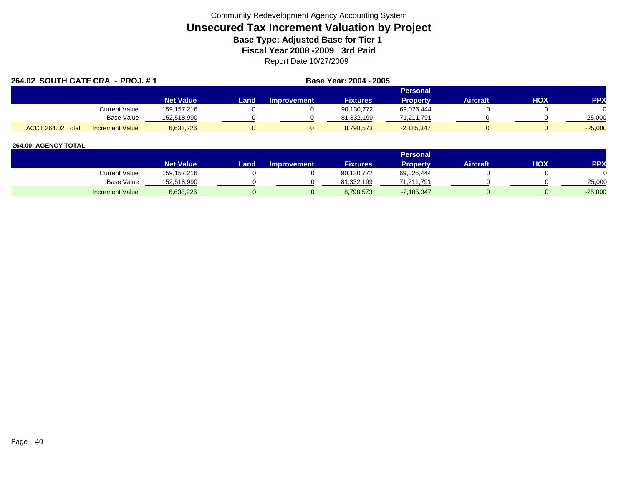| 264.02 SOUTH GATE CRA - PROJ. #1 |                        |                  | Base Year: 2004 - 2005 |                    |                 |                 |                 |     |            |
|----------------------------------|------------------------|------------------|------------------------|--------------------|-----------------|-----------------|-----------------|-----|------------|
|                                  |                        |                  |                        |                    |                 | <b>Personal</b> |                 |     |            |
|                                  |                        | <b>Net Value</b> | Land                   | <b>Improvement</b> | <b>Fixtures</b> | <b>Property</b> | <b>Aircraft</b> | нох | <b>PPX</b> |
|                                  | <b>Current Value</b>   | 159,157,216      |                        |                    | 90,130,772      | 69,026,444      |                 |     |            |
|                                  | <b>Base Value</b>      | 152,518,990      |                        |                    | 81,332,199      | 71,211,791      |                 |     | 25,000     |
| ACCT 264.02 Total                | <b>Increment Value</b> | 6,638,226        |                        |                    | 8,798,573       | $-2,185,347$    |                 |     | $-25,000$  |

|                        |                  |      |                    |                 | <b>Personal</b> |                 |            |            |
|------------------------|------------------|------|--------------------|-----------------|-----------------|-----------------|------------|------------|
|                        | <b>Net Value</b> | Land | <b>Improvement</b> | <b>Fixtures</b> | Property        | <b>Aircraft</b> | <b>HOX</b> | <b>PPY</b> |
| Current Value          | 159, 157, 216    |      |                    | 90,130,772      | 69,026,444      |                 |            |            |
| <b>Base Value</b>      | 152,518,990      |      |                    | 81.332.199      | 71,211,791      |                 |            | 25,000     |
| <b>Increment Value</b> | 6,638,226        |      |                    | 8,798,573       | $-2,185,347$    |                 |            | $-25,000$  |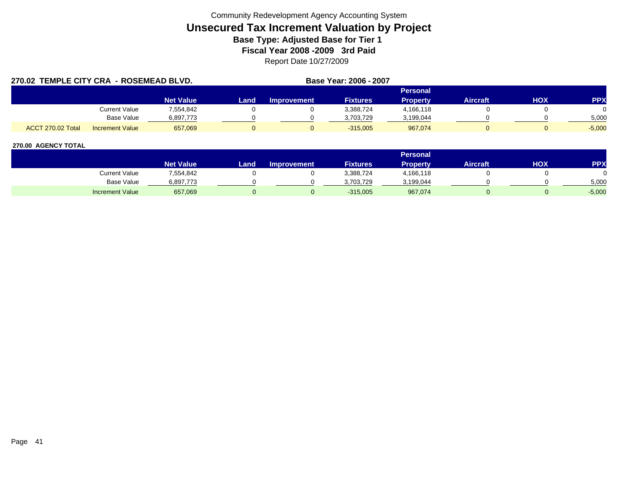|                   | 270.02 TEMPLE CITY CRA - ROSEMEAD BLVD. |                  |      |                    | Base Year: 2006 - 2007 |                 |                 |            |            |
|-------------------|-----------------------------------------|------------------|------|--------------------|------------------------|-----------------|-----------------|------------|------------|
|                   |                                         |                  |      |                    |                        | <b>Personal</b> |                 |            |            |
|                   |                                         | <b>Net Value</b> | Land | <b>Improvement</b> | <b>Fixtures</b>        | <b>Property</b> | <b>Aircraft</b> | <b>HOX</b> | <b>PPX</b> |
|                   | Current Value                           | 7.554.842        |      |                    | 3,388,724              | 4,166,118       |                 |            |            |
|                   | Base Value                              | 6,897,773        |      |                    | 3.703.729              | 3,199,044       |                 |            | 5.000      |
| ACCT 270.02 Total | <b>Increment Value</b>                  | 657,069          |      |                    | $-315.005$             | 967.074         |                 |            | $-5.000$   |

|                        |                        |       |                    |                 | <b>Personal</b> |                 |     |          |
|------------------------|------------------------|-------|--------------------|-----------------|-----------------|-----------------|-----|----------|
|                        | Net Value <sup>1</sup> | Land, | <b>Improvement</b> | <b>Fixtures</b> | Property        | <b>Aircraft</b> | HOX | PPX      |
| Current Value          | 7,554,842              |       |                    | 3,388,724       | 4,166,118       |                 |     |          |
| Base Value             | 6,897,773              |       |                    | 3,703,729       | 3,199,044       |                 |     | 5,000    |
| <b>Increment Value</b> | 657,069                |       |                    | $-315,005$      | 967,074         |                 |     | $-5,000$ |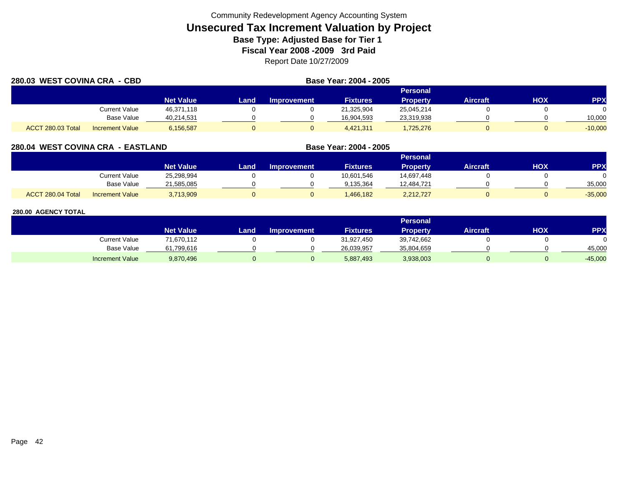| 280.03 WEST COVINA CRA - CBD |                        |                  |      |                    | Base Year: 2004 - 2005 |                 |                 |     |            |
|------------------------------|------------------------|------------------|------|--------------------|------------------------|-----------------|-----------------|-----|------------|
|                              |                        |                  |      |                    |                        | <b>Personal</b> |                 |     |            |
|                              |                        | <b>Net Value</b> | Land | <b>Improvement</b> | <b>Fixtures</b>        | <b>Property</b> | <b>Aircraft</b> | HOX | <b>PPX</b> |
|                              | Current Value          | 46,371,118       |      |                    | 21,325,904             | 25,045,214      |                 |     |            |
|                              | Base Value             | 40,214,531       |      |                    | 16,904,593             | 23,319,938      |                 |     | 10,000     |
| ACCT 280.03 Total            | <b>Increment Value</b> | 6,156,587        |      |                    | 4,421,311              | ,725,276        |                 |     | $-10,000$  |

# **280.04 WEST COVINA CRA - EASTLAND**

|                                             |                  |      |                    |                 | Personal        |                 |     |           |
|---------------------------------------------|------------------|------|--------------------|-----------------|-----------------|-----------------|-----|-----------|
|                                             | <b>Net Value</b> | Land | <b>Improvement</b> | <b>Fixtures</b> | <b>Property</b> | <b>Aircraft</b> | нох | PPX       |
| <b>Current Value</b>                        | 25,298,994       |      |                    | 10,601,546      | 14,697,448      |                 |     |           |
| <b>Base Value</b>                           | 21,585,085       |      |                    | 9,135,364       | 12,484,721      |                 |     | 35,000    |
| ACCT 280.04 Total<br><b>Increment Value</b> | 3,713,909        |      |                    | .466.182        | 2,212,727       |                 |     | $-35,000$ |

**Base Year: 2004 - 2005**

|                        |                  |      |                    |                 | Personal        |                 |     |            |
|------------------------|------------------|------|--------------------|-----------------|-----------------|-----------------|-----|------------|
|                        | <b>Net Value</b> | Land | <b>Improvement</b> | <b>Fixtures</b> | <b>Property</b> | <b>Aircraft</b> | нох | <b>PPX</b> |
| Current Value          | 71,670,112       |      |                    | 31,927,450      | 39,742,662      |                 |     |            |
| <b>Base Value</b>      | 61,799,616       |      |                    | 26,039,957      | 35,804,659      |                 |     | 45,000     |
| <b>Increment Value</b> | 9,870,496        |      |                    | 5,887,493       | 3,938,003       |                 |     | $-45,000$  |